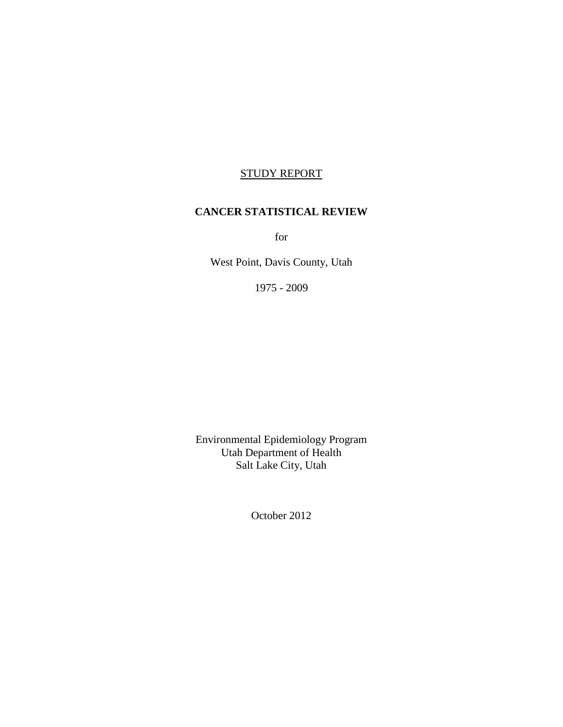# STUDY REPORT

#### **CANCER STATISTICAL REVIEW**

for

West Point, Davis County, Utah

1975 - 2009

Environmental Epidemiology Program Utah Department of Health Salt Lake City, Utah

October 2012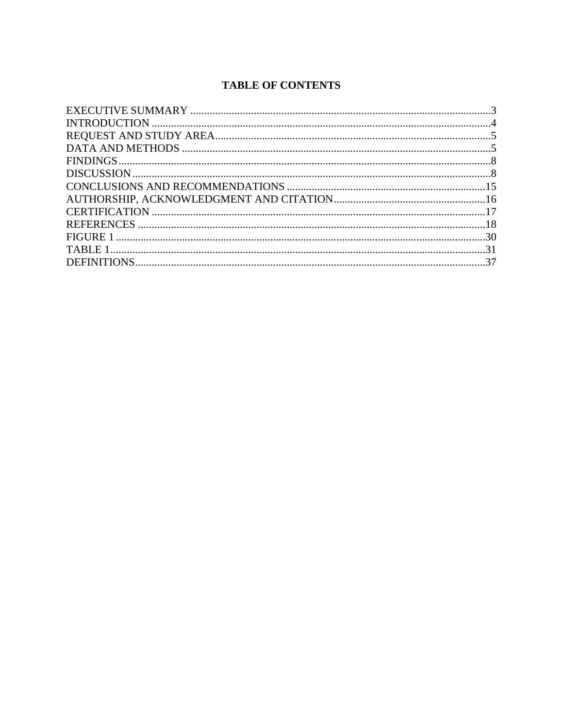# **TABLE OF CONTENTS**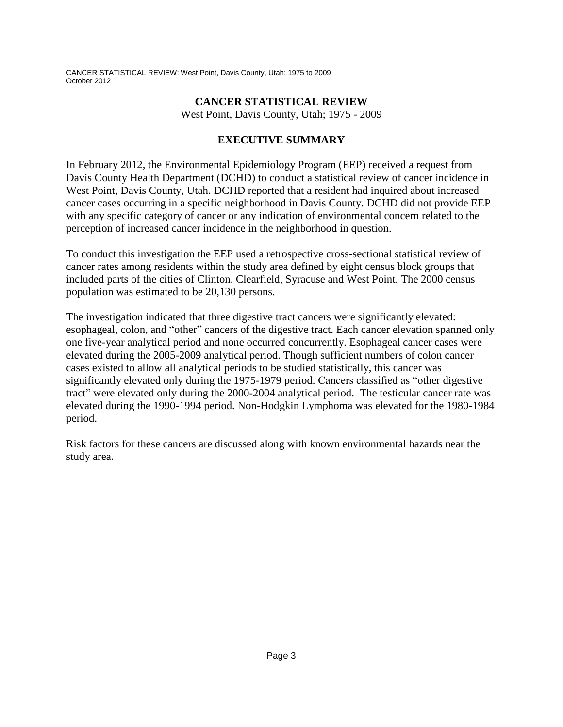## **CANCER STATISTICAL REVIEW**

West Point, Davis County, Utah; 1975 - 2009

# **EXECUTIVE SUMMARY**

In February 2012, the Environmental Epidemiology Program (EEP) received a request from Davis County Health Department (DCHD) to conduct a statistical review of cancer incidence in West Point, Davis County, Utah. DCHD reported that a resident had inquired about increased cancer cases occurring in a specific neighborhood in Davis County. DCHD did not provide EEP with any specific category of cancer or any indication of environmental concern related to the perception of increased cancer incidence in the neighborhood in question.

To conduct this investigation the EEP used a retrospective cross-sectional statistical review of cancer rates among residents within the study area defined by eight census block groups that included parts of the cities of Clinton, Clearfield, Syracuse and West Point. The 2000 census population was estimated to be 20,130 persons.

The investigation indicated that three digestive tract cancers were significantly elevated: esophageal, colon, and "other" cancers of the digestive tract. Each cancer elevation spanned only one five-year analytical period and none occurred concurrently. Esophageal cancer cases were elevated during the 2005-2009 analytical period. Though sufficient numbers of colon cancer cases existed to allow all analytical periods to be studied statistically, this cancer was significantly elevated only during the 1975-1979 period. Cancers classified as "other digestive tract" were elevated only during the 2000-2004 analytical period. The testicular cancer rate was elevated during the 1990-1994 period. Non-Hodgkin Lymphoma was elevated for the 1980-1984 period.

Risk factors for these cancers are discussed along with known environmental hazards near the study area.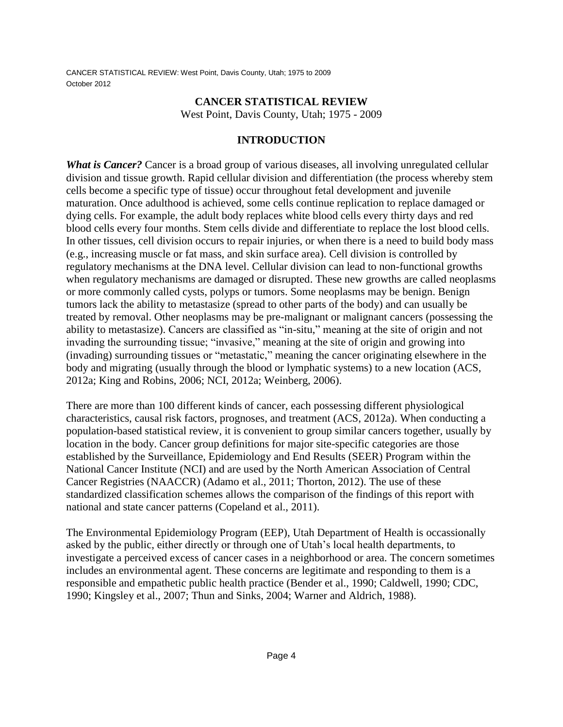### **CANCER STATISTICAL REVIEW**

West Point, Davis County, Utah; 1975 - 2009

## **INTRODUCTION**

*What is Cancer?* Cancer is a broad group of various diseases, all involving unregulated cellular division and tissue growth. Rapid cellular division and differentiation (the process whereby stem cells become a specific type of tissue) occur throughout fetal development and juvenile maturation. Once adulthood is achieved, some cells continue replication to replace damaged or dying cells. For example, the adult body replaces white blood cells every thirty days and red blood cells every four months. Stem cells divide and differentiate to replace the lost blood cells. In other tissues, cell division occurs to repair injuries, or when there is a need to build body mass (e.g., increasing muscle or fat mass, and skin surface area). Cell division is controlled by regulatory mechanisms at the DNA level. Cellular division can lead to non-functional growths when regulatory mechanisms are damaged or disrupted. These new growths are called neoplasms or more commonly called cysts, polyps or tumors. Some neoplasms may be benign. Benign tumors lack the ability to metastasize (spread to other parts of the body) and can usually be treated by removal. Other neoplasms may be pre-malignant or malignant cancers (possessing the ability to metastasize). Cancers are classified as "in-situ," meaning at the site of origin and not invading the surrounding tissue; "invasive," meaning at the site of origin and growing into (invading) surrounding tissues or "metastatic," meaning the cancer originating elsewhere in the body and migrating (usually through the blood or lymphatic systems) to a new location (ACS, 2012a; King and Robins, 2006; NCI, 2012a; Weinberg, 2006).

There are more than 100 different kinds of cancer, each possessing different physiological characteristics, causal risk factors, prognoses, and treatment (ACS, 2012a). When conducting a population-based statistical review, it is convenient to group similar cancers together, usually by location in the body. Cancer group definitions for major site-specific categories are those established by the Surveillance, Epidemiology and End Results (SEER) Program within the National Cancer Institute (NCI) and are used by the North American Association of Central Cancer Registries (NAACCR) (Adamo et al., 2011; Thorton, 2012). The use of these standardized classification schemes allows the comparison of the findings of this report with national and state cancer patterns (Copeland et al., 2011).

The Environmental Epidemiology Program (EEP), Utah Department of Health is occassionally asked by the public, either directly or through one of Utah's local health departments, to investigate a perceived excess of cancer cases in a neighborhood or area. The concern sometimes includes an environmental agent. These concerns are legitimate and responding to them is a responsible and empathetic public health practice (Bender et al., 1990; Caldwell, 1990; CDC, 1990; Kingsley et al., 2007; Thun and Sinks, 2004; Warner and Aldrich, 1988).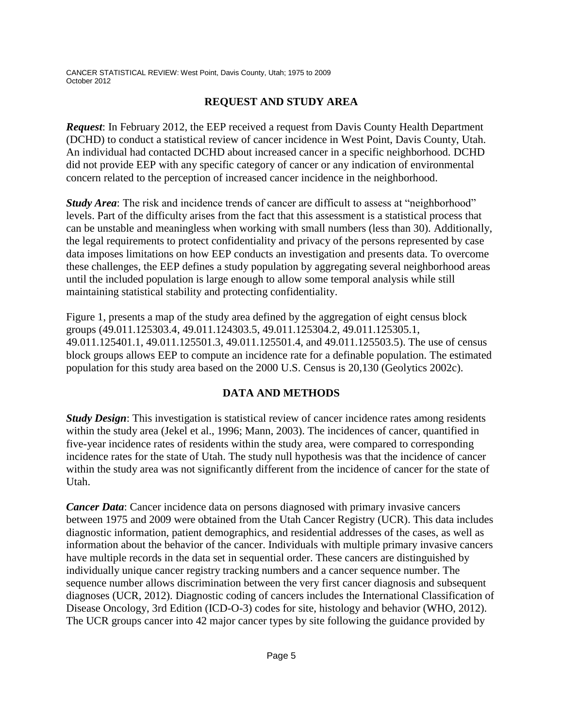## **REQUEST AND STUDY AREA**

*Request*: In February 2012, the EEP received a request from Davis County Health Department (DCHD) to conduct a statistical review of cancer incidence in West Point, Davis County, Utah. An individual had contacted DCHD about increased cancer in a specific neighborhood. DCHD did not provide EEP with any specific category of cancer or any indication of environmental concern related to the perception of increased cancer incidence in the neighborhood.

*Study Area*: The risk and incidence trends of cancer are difficult to assess at "neighborhood" levels. Part of the difficulty arises from the fact that this assessment is a statistical process that can be unstable and meaningless when working with small numbers (less than 30). Additionally, the legal requirements to protect confidentiality and privacy of the persons represented by case data imposes limitations on how EEP conducts an investigation and presents data. To overcome these challenges, the EEP defines a study population by aggregating several neighborhood areas until the included population is large enough to allow some temporal analysis while still maintaining statistical stability and protecting confidentiality.

Figure 1, presents a map of the study area defined by the aggregation of eight census block groups (49.011.125303.4, 49.011.124303.5, 49.011.125304.2, 49.011.125305.1, 49.011.125401.1, 49.011.125501.3, 49.011.125501.4, and 49.011.125503.5). The use of census block groups allows EEP to compute an incidence rate for a definable population. The estimated population for this study area based on the 2000 U.S. Census is 20,130 (Geolytics 2002c).

## **DATA AND METHODS**

*Study Design*: This investigation is statistical review of cancer incidence rates among residents within the study area (Jekel et al., 1996; Mann, 2003). The incidences of cancer, quantified in five-year incidence rates of residents within the study area, were compared to corresponding incidence rates for the state of Utah. The study null hypothesis was that the incidence of cancer within the study area was not significantly different from the incidence of cancer for the state of Utah.

*Cancer Data*: Cancer incidence data on persons diagnosed with primary invasive cancers between 1975 and 2009 were obtained from the Utah Cancer Registry (UCR). This data includes diagnostic information, patient demographics, and residential addresses of the cases, as well as information about the behavior of the cancer. Individuals with multiple primary invasive cancers have multiple records in the data set in sequential order. These cancers are distinguished by individually unique cancer registry tracking numbers and a cancer sequence number. The sequence number allows discrimination between the very first cancer diagnosis and subsequent diagnoses (UCR, 2012). Diagnostic coding of cancers includes the International Classification of Disease Oncology, 3rd Edition (ICD-O-3) codes for site, histology and behavior (WHO, 2012). The UCR groups cancer into 42 major cancer types by site following the guidance provided by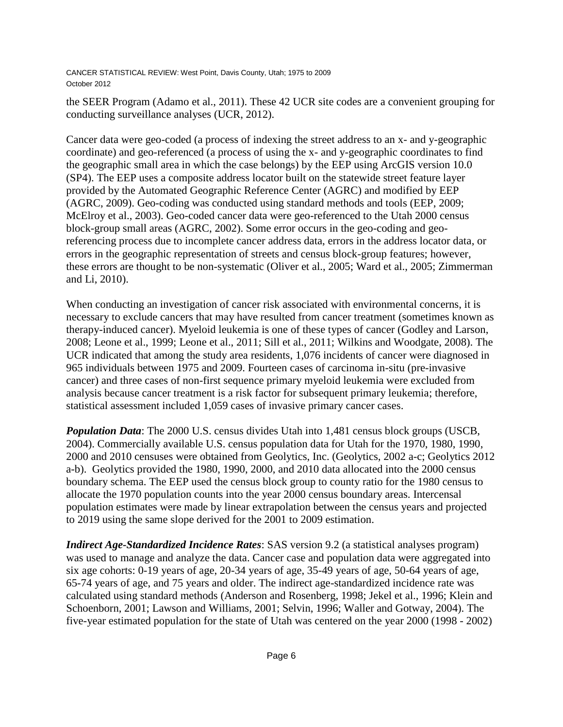the SEER Program (Adamo et al., 2011). These 42 UCR site codes are a convenient grouping for conducting surveillance analyses (UCR, 2012).

Cancer data were geo-coded (a process of indexing the street address to an x- and y-geographic coordinate) and geo-referenced (a process of using the x- and y-geographic coordinates to find the geographic small area in which the case belongs) by the EEP using ArcGIS version 10.0 (SP4). The EEP uses a composite address locator built on the statewide street feature layer provided by the Automated Geographic Reference Center (AGRC) and modified by EEP (AGRC, 2009). Geo-coding was conducted using standard methods and tools (EEP, 2009; McElroy et al., 2003). Geo-coded cancer data were geo-referenced to the Utah 2000 census block-group small areas (AGRC, 2002). Some error occurs in the geo-coding and georeferencing process due to incomplete cancer address data, errors in the address locator data, or errors in the geographic representation of streets and census block-group features; however, these errors are thought to be non-systematic (Oliver et al., 2005; Ward et al., 2005; Zimmerman and Li, 2010).

When conducting an investigation of cancer risk associated with environmental concerns, it is necessary to exclude cancers that may have resulted from cancer treatment (sometimes known as therapy-induced cancer). Myeloid leukemia is one of these types of cancer (Godley and Larson, 2008; Leone et al., 1999; Leone et al., 2011; Sill et al., 2011; Wilkins and Woodgate, 2008). The UCR indicated that among the study area residents, 1,076 incidents of cancer were diagnosed in 965 individuals between 1975 and 2009. Fourteen cases of carcinoma in-situ (pre-invasive cancer) and three cases of non-first sequence primary myeloid leukemia were excluded from analysis because cancer treatment is a risk factor for subsequent primary leukemia; therefore, statistical assessment included 1,059 cases of invasive primary cancer cases.

*Population Data*: The 2000 U.S. census divides Utah into 1,481 census block groups (USCB, 2004). Commercially available U.S. census population data for Utah for the 1970, 1980, 1990, 2000 and 2010 censuses were obtained from Geolytics, Inc. (Geolytics, 2002 a-c; Geolytics 2012 a-b). Geolytics provided the 1980, 1990, 2000, and 2010 data allocated into the 2000 census boundary schema. The EEP used the census block group to county ratio for the 1980 census to allocate the 1970 population counts into the year 2000 census boundary areas. Intercensal population estimates were made by linear extrapolation between the census years and projected to 2019 using the same slope derived for the 2001 to 2009 estimation.

*Indirect Age-Standardized Incidence Rates*: SAS version 9.2 (a statistical analyses program) was used to manage and analyze the data. Cancer case and population data were aggregated into six age cohorts: 0-19 years of age, 20-34 years of age, 35-49 years of age, 50-64 years of age, 65-74 years of age, and 75 years and older. The indirect age-standardized incidence rate was calculated using standard methods (Anderson and Rosenberg, 1998; Jekel et al., 1996; Klein and Schoenborn, 2001; Lawson and Williams, 2001; Selvin, 1996; Waller and Gotway, 2004). The five-year estimated population for the state of Utah was centered on the year 2000 (1998 - 2002)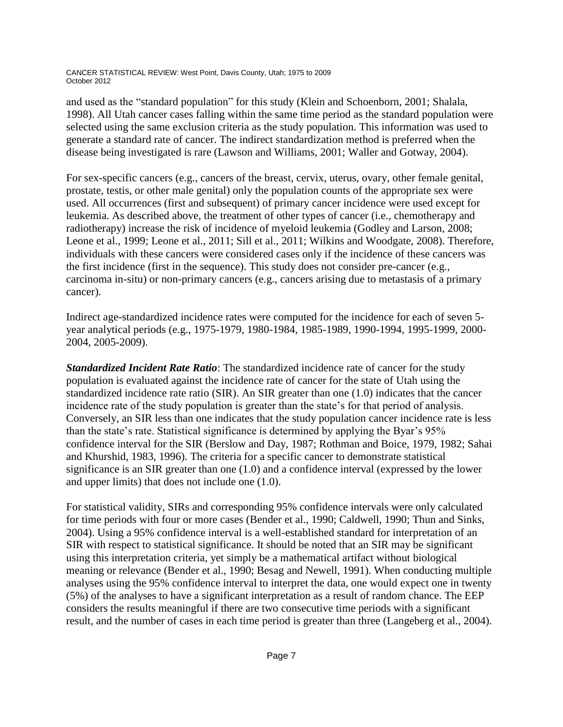and used as the "standard population" for this study (Klein and Schoenborn, 2001; Shalala, 1998). All Utah cancer cases falling within the same time period as the standard population were selected using the same exclusion criteria as the study population. This information was used to generate a standard rate of cancer. The indirect standardization method is preferred when the disease being investigated is rare (Lawson and Williams, 2001; Waller and Gotway, 2004).

For sex-specific cancers (e.g., cancers of the breast, cervix, uterus, ovary, other female genital, prostate, testis, or other male genital) only the population counts of the appropriate sex were used. All occurrences (first and subsequent) of primary cancer incidence were used except for leukemia. As described above, the treatment of other types of cancer (i.e., chemotherapy and radiotherapy) increase the risk of incidence of myeloid leukemia (Godley and Larson, 2008; Leone et al., 1999; Leone et al., 2011; Sill et al., 2011; Wilkins and Woodgate, 2008). Therefore, individuals with these cancers were considered cases only if the incidence of these cancers was the first incidence (first in the sequence). This study does not consider pre-cancer (e.g., carcinoma in-situ) or non-primary cancers (e.g., cancers arising due to metastasis of a primary cancer).

Indirect age-standardized incidence rates were computed for the incidence for each of seven 5 year analytical periods (e.g., 1975-1979, 1980-1984, 1985-1989, 1990-1994, 1995-1999, 2000- 2004, 2005-2009).

*Standardized Incident Rate Ratio*: The standardized incidence rate of cancer for the study population is evaluated against the incidence rate of cancer for the state of Utah using the standardized incidence rate ratio (SIR). An SIR greater than one (1.0) indicates that the cancer incidence rate of the study population is greater than the state's for that period of analysis. Conversely, an SIR less than one indicates that the study population cancer incidence rate is less than the state's rate. Statistical significance is determined by applying the Byar's 95% confidence interval for the SIR (Berslow and Day, 1987; Rothman and Boice, 1979, 1982; Sahai and Khurshid, 1983, 1996). The criteria for a specific cancer to demonstrate statistical significance is an SIR greater than one (1.0) and a confidence interval (expressed by the lower and upper limits) that does not include one (1.0).

For statistical validity, SIRs and corresponding 95% confidence intervals were only calculated for time periods with four or more cases (Bender et al., 1990; Caldwell, 1990; Thun and Sinks, 2004). Using a 95% confidence interval is a well-established standard for interpretation of an SIR with respect to statistical significance. It should be noted that an SIR may be significant using this interpretation criteria, yet simply be a mathematical artifact without biological meaning or relevance (Bender et al., 1990; Besag and Newell, 1991). When conducting multiple analyses using the 95% confidence interval to interpret the data, one would expect one in twenty (5%) of the analyses to have a significant interpretation as a result of random chance. The EEP considers the results meaningful if there are two consecutive time periods with a significant result, and the number of cases in each time period is greater than three (Langeberg et al., 2004).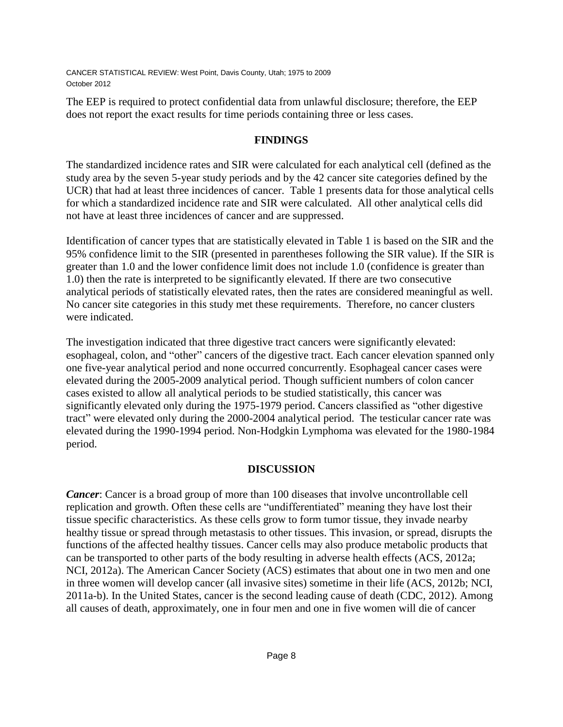The EEP is required to protect confidential data from unlawful disclosure; therefore, the EEP does not report the exact results for time periods containing three or less cases.

## **FINDINGS**

The standardized incidence rates and SIR were calculated for each analytical cell (defined as the study area by the seven 5-year study periods and by the 42 cancer site categories defined by the UCR) that had at least three incidences of cancer. Table 1 presents data for those analytical cells for which a standardized incidence rate and SIR were calculated. All other analytical cells did not have at least three incidences of cancer and are suppressed.

Identification of cancer types that are statistically elevated in Table 1 is based on the SIR and the 95% confidence limit to the SIR (presented in parentheses following the SIR value). If the SIR is greater than 1.0 and the lower confidence limit does not include 1.0 (confidence is greater than 1.0) then the rate is interpreted to be significantly elevated. If there are two consecutive analytical periods of statistically elevated rates, then the rates are considered meaningful as well. No cancer site categories in this study met these requirements. Therefore, no cancer clusters were indicated.

The investigation indicated that three digestive tract cancers were significantly elevated: esophageal, colon, and "other" cancers of the digestive tract. Each cancer elevation spanned only one five-year analytical period and none occurred concurrently. Esophageal cancer cases were elevated during the 2005-2009 analytical period. Though sufficient numbers of colon cancer cases existed to allow all analytical periods to be studied statistically, this cancer was significantly elevated only during the 1975-1979 period. Cancers classified as "other digestive tract" were elevated only during the 2000-2004 analytical period. The testicular cancer rate was elevated during the 1990-1994 period. Non-Hodgkin Lymphoma was elevated for the 1980-1984 period.

## **DISCUSSION**

*Cancer*: Cancer is a broad group of more than 100 diseases that involve uncontrollable cell replication and growth. Often these cells are "undifferentiated" meaning they have lost their tissue specific characteristics. As these cells grow to form tumor tissue, they invade nearby healthy tissue or spread through metastasis to other tissues. This invasion, or spread, disrupts the functions of the affected healthy tissues. Cancer cells may also produce metabolic products that can be transported to other parts of the body resulting in adverse health effects (ACS, 2012a; NCI, 2012a). The American Cancer Society (ACS) estimates that about one in two men and one in three women will develop cancer (all invasive sites) sometime in their life (ACS, 2012b; NCI, 2011a-b). In the United States, cancer is the second leading cause of death (CDC, 2012). Among all causes of death, approximately, one in four men and one in five women will die of cancer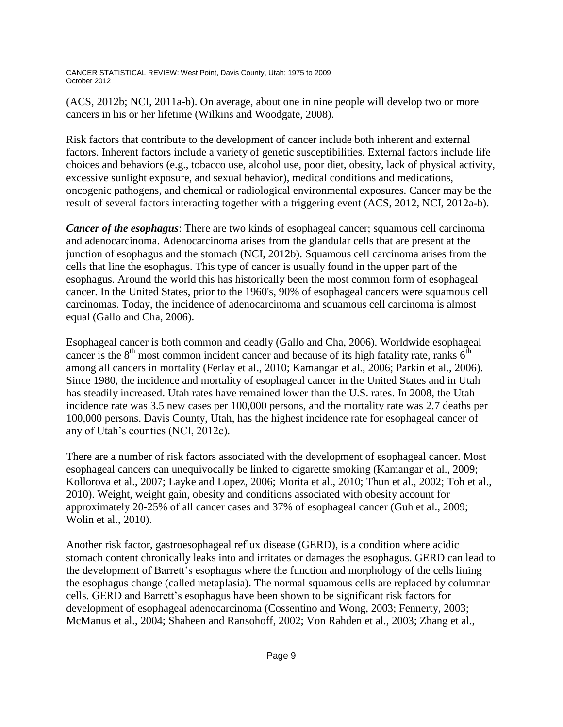(ACS, 2012b; NCI, 2011a-b). On average, about one in nine people will develop two or more cancers in his or her lifetime (Wilkins and Woodgate, 2008).

Risk factors that contribute to the development of cancer include both inherent and external factors. Inherent factors include a variety of genetic susceptibilities. External factors include life choices and behaviors (e.g., tobacco use, alcohol use, poor diet, obesity, lack of physical activity, excessive sunlight exposure, and sexual behavior), medical conditions and medications, oncogenic pathogens, and chemical or radiological environmental exposures. Cancer may be the result of several factors interacting together with a triggering event (ACS, 2012, NCI, 2012a-b).

*Cancer of the esophagus*: There are two kinds of esophageal cancer; squamous cell carcinoma and adenocarcinoma. Adenocarcinoma arises from the glandular cells that are present at the junction of esophagus and the stomach (NCI, 2012b). Squamous cell carcinoma arises from the cells that line the esophagus. This type of cancer is usually found in the upper part of the esophagus. Around the world this has historically been the most common form of esophageal cancer. In the United States, prior to the 1960's, 90% of esophageal cancers were squamous cell carcinomas. Today, the incidence of adenocarcinoma and squamous cell carcinoma is almost equal (Gallo and Cha, 2006).

Esophageal cancer is both common and deadly (Gallo and Cha, 2006). Worldwide esophageal cancer is the  $8<sup>th</sup>$  most common incident cancer and because of its high fatality rate, ranks  $6<sup>th</sup>$ among all cancers in mortality (Ferlay et al., 2010; Kamangar et al., 2006; Parkin et al., 2006). Since 1980, the incidence and mortality of esophageal cancer in the United States and in Utah has steadily increased. Utah rates have remained lower than the U.S. rates. In 2008, the Utah incidence rate was 3.5 new cases per 100,000 persons, and the mortality rate was 2.7 deaths per 100,000 persons. Davis County, Utah, has the highest incidence rate for esophageal cancer of any of Utah's counties (NCI, 2012c).

There are a number of risk factors associated with the development of esophageal cancer. Most esophageal cancers can unequivocally be linked to cigarette smoking (Kamangar et al., 2009; Kollorova et al., 2007; Layke and Lopez, 2006; Morita et al., 2010; Thun et al., 2002; Toh et al., 2010). Weight, weight gain, obesity and conditions associated with obesity account for approximately 20-25% of all cancer cases and 37% of esophageal cancer (Guh et al., 2009; Wolin et al., 2010).

Another risk factor, gastroesophageal reflux disease (GERD), is a condition where acidic stomach content chronically leaks into and irritates or damages the esophagus. GERD can lead to the development of Barrett's esophagus where the function and morphology of the cells lining the esophagus change (called metaplasia). The normal squamous cells are replaced by columnar cells. GERD and Barrett's esophagus have been shown to be significant risk factors for development of esophageal adenocarcinoma (Cossentino and Wong, 2003; Fennerty, 2003; McManus et al., 2004; Shaheen and Ransohoff, 2002; Von Rahden et al., 2003; Zhang et al.,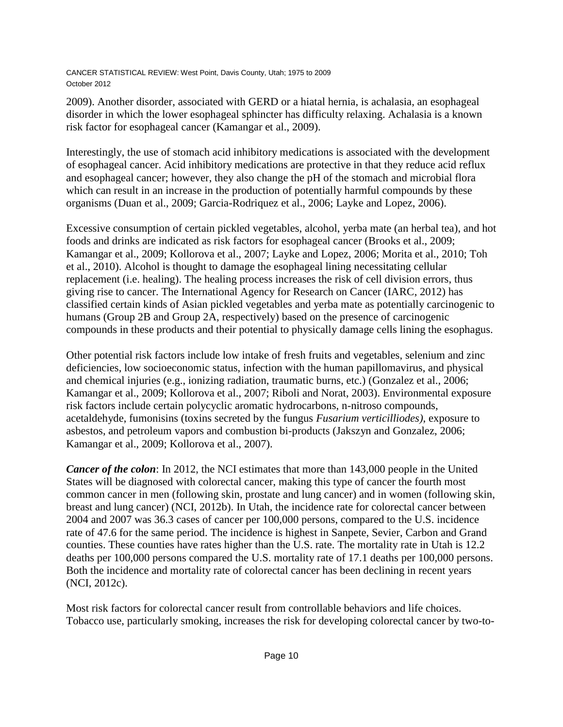2009). Another disorder, associated with GERD or a hiatal hernia, is achalasia, an esophageal disorder in which the lower esophageal sphincter has difficulty relaxing. Achalasia is a known risk factor for esophageal cancer (Kamangar et al., 2009).

Interestingly, the use of stomach acid inhibitory medications is associated with the development of esophageal cancer. Acid inhibitory medications are protective in that they reduce acid reflux and esophageal cancer; however, they also change the pH of the stomach and microbial flora which can result in an increase in the production of potentially harmful compounds by these organisms (Duan et al., 2009; Garcia-Rodriquez et al., 2006; Layke and Lopez, 2006).

Excessive consumption of certain pickled vegetables, alcohol, yerba mate (an herbal tea), and hot foods and drinks are indicated as risk factors for esophageal cancer (Brooks et al., 2009; Kamangar et al., 2009; Kollorova et al., 2007; Layke and Lopez, 2006; Morita et al., 2010; Toh et al., 2010). Alcohol is thought to damage the esophageal lining necessitating cellular replacement (i.e. healing). The healing process increases the risk of cell division errors, thus giving rise to cancer. The International Agency for Research on Cancer (IARC, 2012) has classified certain kinds of Asian pickled vegetables and yerba mate as potentially carcinogenic to humans (Group 2B and Group 2A, respectively) based on the presence of carcinogenic compounds in these products and their potential to physically damage cells lining the esophagus.

Other potential risk factors include low intake of fresh fruits and vegetables, selenium and zinc deficiencies, low socioeconomic status, infection with the human papillomavirus, and physical and chemical injuries (e.g., ionizing radiation, traumatic burns, etc.) (Gonzalez et al., 2006; Kamangar et al., 2009; Kollorova et al., 2007; Riboli and Norat, 2003). Environmental exposure risk factors include certain polycyclic aromatic hydrocarbons, n-nitroso compounds, acetaldehyde, fumonisins (toxins secreted by the fungus *Fusarium verticilliodes)*, exposure to asbestos, and petroleum vapors and combustion bi-products (Jakszyn and Gonzalez, 2006; Kamangar et al., 2009; Kollorova et al., 2007).

*Cancer of the colon*: In 2012, the NCI estimates that more than 143,000 people in the United States will be diagnosed with colorectal cancer, making this type of cancer the fourth most common cancer in men (following skin, prostate and lung cancer) and in women (following skin, breast and lung cancer) (NCI, 2012b). In Utah, the incidence rate for colorectal cancer between 2004 and 2007 was 36.3 cases of cancer per 100,000 persons, compared to the U.S. incidence rate of 47.6 for the same period. The incidence is highest in Sanpete, Sevier, Carbon and Grand counties. These counties have rates higher than the U.S. rate. The mortality rate in Utah is 12.2 deaths per 100,000 persons compared the U.S. mortality rate of 17.1 deaths per 100,000 persons. Both the incidence and mortality rate of colorectal cancer has been declining in recent years (NCI, 2012c).

Most risk factors for colorectal cancer result from controllable behaviors and life choices. Tobacco use, particularly smoking, increases the risk for developing colorectal cancer by two-to-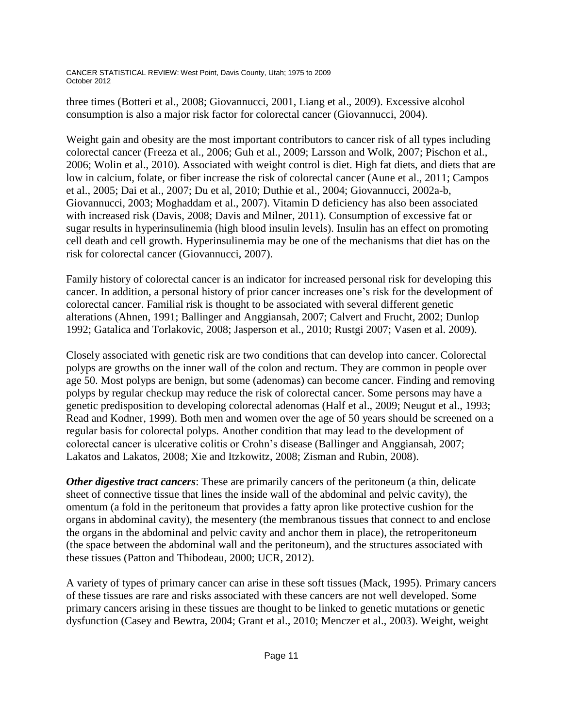three times (Botteri et al., 2008; Giovannucci, 2001, Liang et al., 2009). Excessive alcohol consumption is also a major risk factor for colorectal cancer (Giovannucci, 2004).

Weight gain and obesity are the most important contributors to cancer risk of all types including colorectal cancer (Freeza et al., 2006; Guh et al., 2009; Larsson and Wolk, 2007; Pischon et al., 2006; Wolin et al., 2010). Associated with weight control is diet. High fat diets, and diets that are low in calcium, folate, or fiber increase the risk of colorectal cancer (Aune et al., 2011; Campos et al., 2005; Dai et al., 2007; Du et al, 2010; Duthie et al., 2004; Giovannucci, 2002a-b, Giovannucci, 2003; Moghaddam et al., 2007). Vitamin D deficiency has also been associated with increased risk (Davis, 2008; Davis and Milner, 2011). Consumption of excessive fat or sugar results in hyperinsulinemia (high blood insulin levels). Insulin has an effect on promoting cell death and cell growth. Hyperinsulinemia may be one of the mechanisms that diet has on the risk for colorectal cancer (Giovannucci, 2007).

Family history of colorectal cancer is an indicator for increased personal risk for developing this cancer. In addition, a personal history of prior cancer increases one's risk for the development of colorectal cancer. Familial risk is thought to be associated with several different genetic alterations (Ahnen, 1991; Ballinger and Anggiansah, 2007; Calvert and Frucht, 2002; Dunlop 1992; Gatalica and Torlakovic, 2008; Jasperson et al., 2010; Rustgi 2007; Vasen et al. 2009).

Closely associated with genetic risk are two conditions that can develop into cancer. Colorectal polyps are growths on the inner wall of the colon and rectum. They are common in people over age 50. Most polyps are benign, but some (adenomas) can become cancer. Finding and removing polyps by regular checkup may reduce the risk of colorectal cancer. Some persons may have a genetic predisposition to developing colorectal adenomas (Half et al., 2009; Neugut et al., 1993; Read and Kodner, 1999). Both men and women over the age of 50 years should be screened on a regular basis for colorectal polyps. Another condition that may lead to the development of colorectal cancer is ulcerative colitis or Crohn's disease (Ballinger and Anggiansah, 2007; Lakatos and Lakatos, 2008; Xie and Itzkowitz, 2008; Zisman and Rubin, 2008).

*Other digestive tract cancers*: These are primarily cancers of the peritoneum (a thin, delicate sheet of connective tissue that lines the inside wall of the abdominal and pelvic cavity), the omentum (a fold in the peritoneum that provides a fatty apron like protective cushion for the organs in abdominal cavity), the mesentery (the membranous tissues that connect to and enclose the organs in the abdominal and pelvic cavity and anchor them in place), the retroperitoneum (the space between the abdominal wall and the peritoneum), and the structures associated with these tissues (Patton and Thibodeau, 2000; UCR, 2012).

A variety of types of primary cancer can arise in these soft tissues (Mack, 1995). Primary cancers of these tissues are rare and risks associated with these cancers are not well developed. Some primary cancers arising in these tissues are thought to be linked to genetic mutations or genetic dysfunction (Casey and Bewtra, 2004; Grant et al., 2010; Menczer et al., 2003). Weight, weight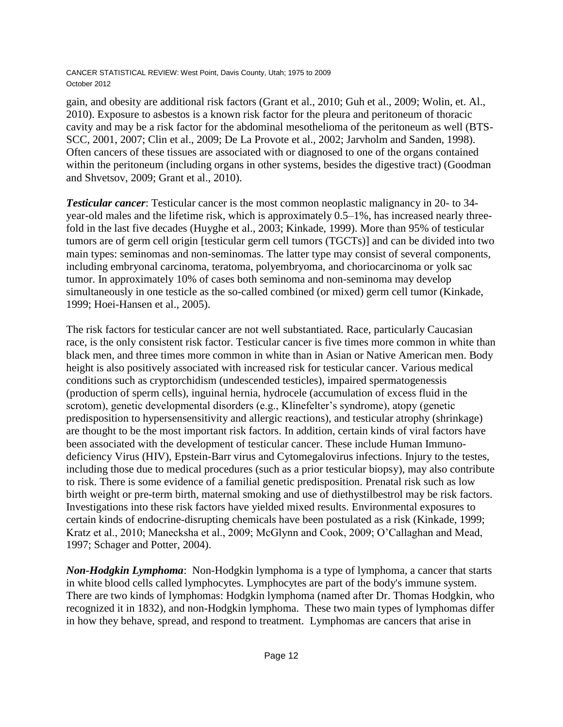gain, and obesity are additional risk factors (Grant et al., 2010; Guh et al., 2009; Wolin, et. Al., 2010). Exposure to asbestos is a known risk factor for the pleura and peritoneum of thoracic cavity and may be a risk factor for the abdominal mesothelioma of the peritoneum as well (BTS-SCC, 2001, 2007; Clin et al., 2009; De La Provote et al., 2002; Jarvholm and Sanden, 1998). Often cancers of these tissues are associated with or diagnosed to one of the organs contained within the peritoneum (including organs in other systems, besides the digestive tract) (Goodman and Shvetsov, 2009; Grant et al., 2010).

*Testicular cancer*: Testicular cancer is the most common neoplastic malignancy in 20- to 34 year-old males and the lifetime risk, which is approximately 0.5–1%, has increased nearly threefold in the last five decades (Huyghe et al., 2003; Kinkade, 1999). More than 95% of testicular tumors are of germ cell origin [testicular germ cell tumors (TGCTs)] and can be divided into two main types: seminomas and non-seminomas. The latter type may consist of several components, including embryonal carcinoma, teratoma, polyembryoma, and choriocarcinoma or yolk sac tumor. In approximately 10% of cases both seminoma and non-seminoma may develop simultaneously in one testicle as the so-called combined (or mixed) germ cell tumor (Kinkade, 1999; Hoei-Hansen et al., 2005).

The risk factors for testicular cancer are not well substantiated. Race, particularly Caucasian race, is the only consistent risk factor. Testicular cancer is five times more common in white than black men, and three times more common in white than in Asian or Native American men. Body height is also positively associated with increased risk for testicular cancer. Various medical conditions such as cryptorchidism (undescended testicles), impaired spermatogenessis (production of sperm cells), inguinal hernia, hydrocele (accumulation of excess fluid in the scrotom), genetic developmental disorders (e.g., Klinefelter's syndrome), atopy (genetic predisposition to hypersensensitivity and allergic reactions), and testicular atrophy (shrinkage) are thought to be the most important risk factors. In addition, certain kinds of viral factors have been associated with the development of testicular cancer. These include Human Immunodeficiency Virus (HIV), Epstein-Barr virus and Cytomegalovirus infections. Injury to the testes, including those due to medical procedures (such as a prior testicular biopsy), may also contribute to risk. There is some evidence of a familial genetic predisposition. Prenatal risk such as low birth weight or pre-term birth, maternal smoking and use of diethystilbestrol may be risk factors. Investigations into these risk factors have yielded mixed results. Environmental exposures to certain kinds of endocrine-disrupting chemicals have been postulated as a risk (Kinkade, 1999; Kratz et al., 2010; Manecksha et al., 2009; McGlynn and Cook, 2009; O'Callaghan and Mead, 1997; Schager and Potter, 2004).

*Non-Hodgkin Lymphoma*: Non-Hodgkin lymphoma is a type of lymphoma, a cancer that starts in white blood cells called lymphocytes. Lymphocytes are part of the body's immune system. There are two kinds of lymphomas: Hodgkin lymphoma (named after Dr. Thomas Hodgkin, who recognized it in 1832), and non-Hodgkin lymphoma. These two main types of lymphomas differ in how they behave, spread, and respond to treatment. Lymphomas are cancers that arise in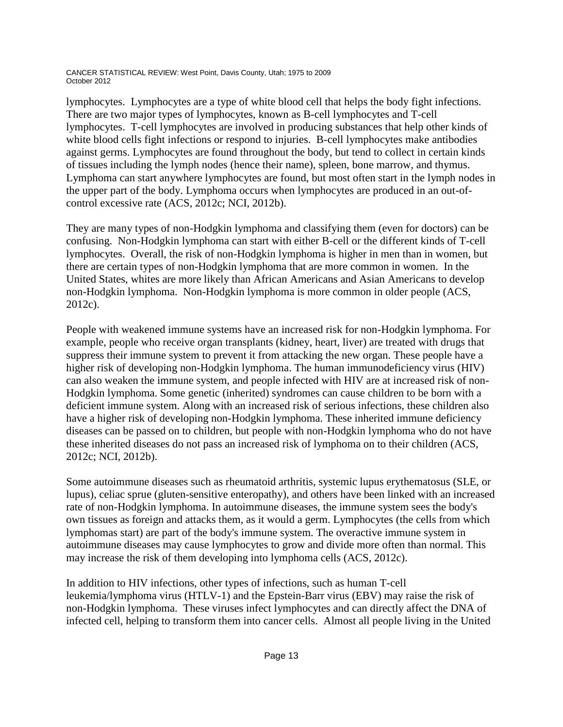lymphocytes. Lymphocytes are a type of white blood cell that helps the body fight infections. There are two major types of lymphocytes, known as B-cell lymphocytes and T-cell lymphocytes. T-cell lymphocytes are involved in producing substances that help other kinds of white blood cells fight infections or respond to injuries. B-cell lymphocytes make antibodies against germs. Lymphocytes are found throughout the body, but tend to collect in certain kinds of tissues including the lymph nodes (hence their name), spleen, bone marrow, and thymus. Lymphoma can start anywhere lymphocytes are found, but most often start in the lymph nodes in the upper part of the body. Lymphoma occurs when lymphocytes are produced in an out-ofcontrol excessive rate (ACS, 2012c; NCI, 2012b).

They are many types of non-Hodgkin lymphoma and classifying them (even for doctors) can be confusing. Non-Hodgkin lymphoma can start with either B-cell or the different kinds of T-cell lymphocytes. Overall, the risk of non-Hodgkin lymphoma is higher in men than in women, but there are certain types of non-Hodgkin lymphoma that are more common in women. In the United States, whites are more likely than African Americans and Asian Americans to develop non-Hodgkin lymphoma. Non-Hodgkin lymphoma is more common in older people (ACS, 2012c).

People with weakened immune systems have an increased risk for non-Hodgkin lymphoma. For example, people who receive organ transplants (kidney, heart, liver) are treated with drugs that suppress their immune system to prevent it from attacking the new organ. These people have a higher risk of developing non-Hodgkin lymphoma. The human immunodeficiency virus (HIV) can also weaken the immune system, and people infected with HIV are at increased risk of non-Hodgkin lymphoma. Some genetic (inherited) syndromes can cause children to be born with a deficient immune system. Along with an increased risk of serious infections, these children also have a higher risk of developing non-Hodgkin lymphoma. These inherited immune deficiency diseases can be passed on to children, but people with non-Hodgkin lymphoma who do not have these inherited diseases do not pass an increased risk of lymphoma on to their children (ACS, 2012c; NCI, 2012b).

Some autoimmune diseases such as rheumatoid arthritis, systemic lupus erythematosus (SLE, or lupus), celiac sprue (gluten-sensitive enteropathy), and others have been linked with an increased rate of non-Hodgkin lymphoma. In autoimmune diseases, the immune system sees the body's own tissues as foreign and attacks them, as it would a germ. Lymphocytes (the cells from which lymphomas start) are part of the body's immune system. The overactive immune system in autoimmune diseases may cause lymphocytes to grow and divide more often than normal. This may increase the risk of them developing into lymphoma cells (ACS, 2012c).

In addition to HIV infections, other types of infections, such as human T-cell leukemia/lymphoma virus (HTLV-1) and the Epstein-Barr virus (EBV) may raise the risk of non-Hodgkin lymphoma. These viruses infect lymphocytes and can directly affect the DNA of infected cell, helping to transform them into cancer cells. Almost all people living in the United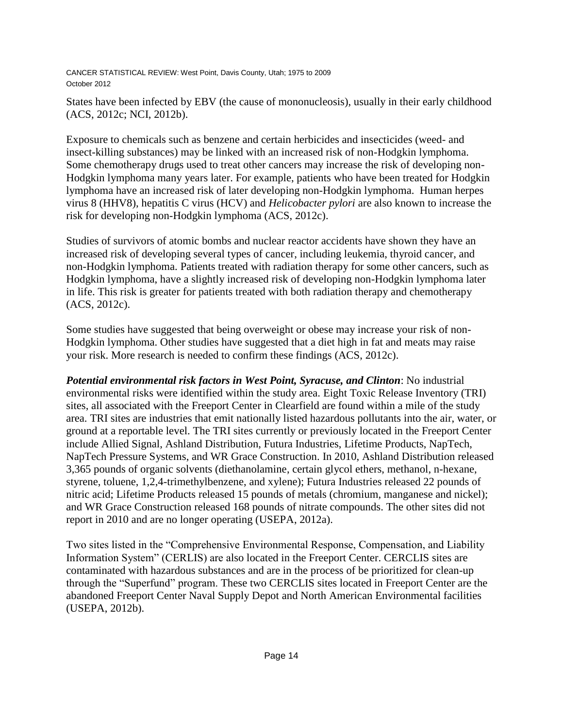States have been infected by EBV (the cause of mononucleosis), usually in their early childhood (ACS, 2012c; NCI, 2012b).

Exposure to chemicals such as benzene and certain herbicides and insecticides (weed- and insect-killing substances) may be linked with an increased risk of non-Hodgkin lymphoma. Some chemotherapy drugs used to treat other cancers may increase the risk of developing non-Hodgkin lymphoma many years later. For example, patients who have been treated for Hodgkin lymphoma have an increased risk of later developing non-Hodgkin lymphoma. Human herpes virus 8 (HHV8), hepatitis C virus (HCV) and *Helicobacter pylori* are also known to increase the risk for developing non-Hodgkin lymphoma (ACS, 2012c).

Studies of survivors of atomic bombs and nuclear reactor accidents have shown they have an increased risk of developing several types of cancer, including leukemia, thyroid cancer, and non-Hodgkin lymphoma. Patients treated with radiation therapy for some other cancers, such as Hodgkin lymphoma, have a slightly increased risk of developing non-Hodgkin lymphoma later in life. This risk is greater for patients treated with both radiation therapy and chemotherapy (ACS, 2012c).

Some studies have suggested that being overweight or obese may increase your risk of non-Hodgkin lymphoma. Other studies have suggested that a diet high in fat and meats may raise your risk. More research is needed to confirm these findings (ACS, 2012c).

*Potential environmental risk factors in West Point, Syracuse, and Clinton*: No industrial environmental risks were identified within the study area. Eight Toxic Release Inventory (TRI) sites, all associated with the Freeport Center in Clearfield are found within a mile of the study area. TRI sites are industries that emit nationally listed hazardous pollutants into the air, water, or ground at a reportable level. The TRI sites currently or previously located in the Freeport Center include Allied Signal, Ashland Distribution, Futura Industries, Lifetime Products, NapTech, NapTech Pressure Systems, and WR Grace Construction. In 2010, Ashland Distribution released 3,365 pounds of organic solvents (diethanolamine, certain glycol ethers, methanol, n-hexane, styrene, toluene, 1,2,4-trimethylbenzene, and xylene); Futura Industries released 22 pounds of nitric acid; Lifetime Products released 15 pounds of metals (chromium, manganese and nickel); and WR Grace Construction released 168 pounds of nitrate compounds. The other sites did not report in 2010 and are no longer operating (USEPA, 2012a).

Two sites listed in the "Comprehensive Environmental Response, Compensation, and Liability Information System" (CERLIS) are also located in the Freeport Center. CERCLIS sites are contaminated with hazardous substances and are in the process of be prioritized for clean-up through the "Superfund" program. These two CERCLIS sites located in Freeport Center are the abandoned Freeport Center Naval Supply Depot and North American Environmental facilities (USEPA, 2012b).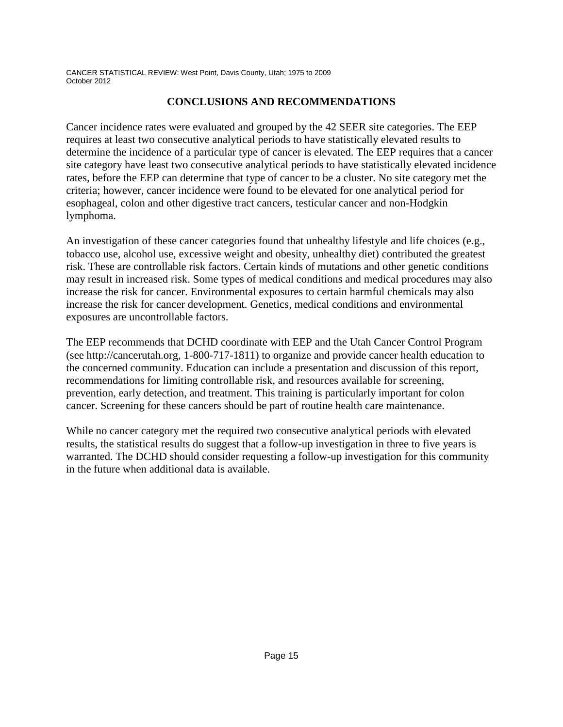## **CONCLUSIONS AND RECOMMENDATIONS**

Cancer incidence rates were evaluated and grouped by the 42 SEER site categories. The EEP requires at least two consecutive analytical periods to have statistically elevated results to determine the incidence of a particular type of cancer is elevated. The EEP requires that a cancer site category have least two consecutive analytical periods to have statistically elevated incidence rates, before the EEP can determine that type of cancer to be a cluster. No site category met the criteria; however, cancer incidence were found to be elevated for one analytical period for esophageal, colon and other digestive tract cancers, testicular cancer and non-Hodgkin lymphoma.

An investigation of these cancer categories found that unhealthy lifestyle and life choices (e.g., tobacco use, alcohol use, excessive weight and obesity, unhealthy diet) contributed the greatest risk. These are controllable risk factors. Certain kinds of mutations and other genetic conditions may result in increased risk. Some types of medical conditions and medical procedures may also increase the risk for cancer. Environmental exposures to certain harmful chemicals may also increase the risk for cancer development. Genetics, medical conditions and environmental exposures are uncontrollable factors.

The EEP recommends that DCHD coordinate with EEP and the Utah Cancer Control Program (see http://cancerutah.org, 1-800-717-1811) to organize and provide cancer health education to the concerned community. Education can include a presentation and discussion of this report, recommendations for limiting controllable risk, and resources available for screening, prevention, early detection, and treatment. This training is particularly important for colon cancer. Screening for these cancers should be part of routine health care maintenance.

While no cancer category met the required two consecutive analytical periods with elevated results, the statistical results do suggest that a follow-up investigation in three to five years is warranted. The DCHD should consider requesting a follow-up investigation for this community in the future when additional data is available.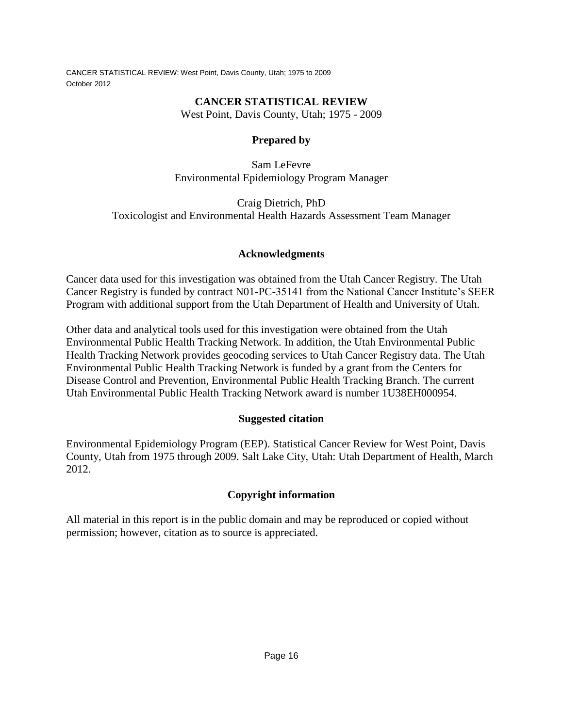## **CANCER STATISTICAL REVIEW**

West Point, Davis County, Utah; 1975 - 2009

## **Prepared by**

Sam LeFevre Environmental Epidemiology Program Manager

Craig Dietrich, PhD Toxicologist and Environmental Health Hazards Assessment Team Manager

## **Acknowledgments**

Cancer data used for this investigation was obtained from the Utah Cancer Registry. The Utah Cancer Registry is funded by contract N01-PC-35141 from the National Cancer Institute's SEER Program with additional support from the Utah Department of Health and University of Utah.

Other data and analytical tools used for this investigation were obtained from the Utah Environmental Public Health Tracking Network. In addition, the Utah Environmental Public Health Tracking Network provides geocoding services to Utah Cancer Registry data. The Utah Environmental Public Health Tracking Network is funded by a grant from the Centers for Disease Control and Prevention, Environmental Public Health Tracking Branch. The current Utah Environmental Public Health Tracking Network award is number 1U38EH000954.

## **Suggested citation**

Environmental Epidemiology Program (EEP). Statistical Cancer Review for West Point, Davis County, Utah from 1975 through 2009. Salt Lake City, Utah: Utah Department of Health, March 2012.

## **Copyright information**

All material in this report is in the public domain and may be reproduced or copied without permission; however, citation as to source is appreciated.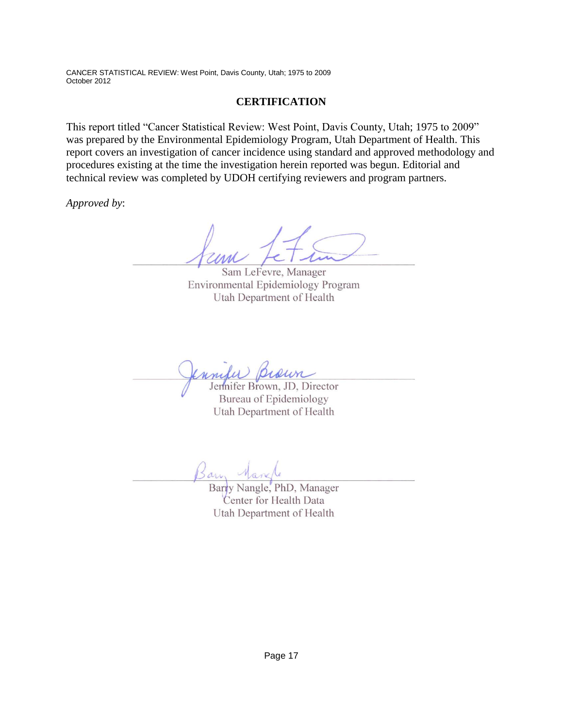### **CERTIFICATION**

This report titled "Cancer Statistical Review: West Point, Davis County, Utah; 1975 to 2009" was prepared by the Environmental Epidemiology Program, Utah Department of Health. This report covers an investigation of cancer incidence using standard and approved methodology and procedures existing at the time the investigation herein reported was begun. Editorial and technical review was completed by UDOH certifying reviewers and program partners.

*Approved by*:

Sam LeFevre, Manager Environmental Epidemiology Program Utah Department of Health

Jennifer Brown, JD, Director Bureau of Epidemiology Utah Department of Health

Barn

Barry Nangle, PhD, Manager Center for Health Data Utah Department of Health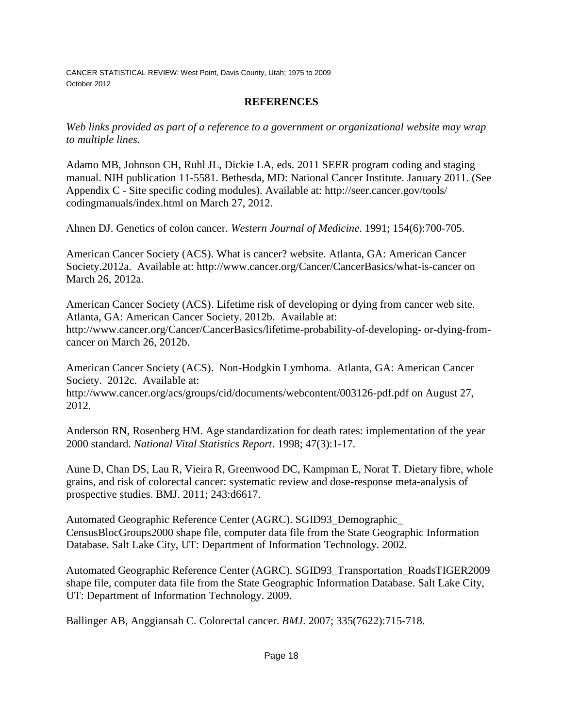### **REFERENCES**

*Web links provided as part of a reference to a government or organizational website may wrap to multiple lines.*

Adamo MB, Johnson CH, Ruhl JL, Dickie LA, eds. 2011 SEER program coding and staging manual. NIH publication 11-5581. Bethesda, MD: National Cancer Institute. January 2011. (See Appendix C - Site specific coding modules). Available at: http://seer.cancer.gov/tools/ codingmanuals/index.html on March 27, 2012.

Ahnen DJ. Genetics of colon cancer. *Western Journal of Medicine*. 1991; 154(6):700-705.

American Cancer Society (ACS). What is cancer? website. Atlanta, GA: American Cancer Society.2012a. Available at: http://www.cancer.org/Cancer/CancerBasics/what-is-cancer on March 26, 2012a.

American Cancer Society (ACS). Lifetime risk of developing or dying from cancer web site. Atlanta, GA: American Cancer Society. 2012b. Available at: http://www.cancer.org/Cancer/CancerBasics/lifetime-probability-of-developing- or-dying-fromcancer on March 26, 2012b.

American Cancer Society (ACS). Non-Hodgkin Lymhoma. Atlanta, GA: American Cancer Society. 2012c. Available at: http://www.cancer.org/acs/groups/cid/documents/webcontent/003126-pdf.pdf on August 27, 2012.

Anderson RN, Rosenberg HM. Age standardization for death rates: implementation of the year 2000 standard. *National Vital Statistics Report*. 1998; 47(3):1-17.

Aune D, Chan DS, Lau R, Vieira R, Greenwood DC, Kampman E, Norat T. Dietary fibre, whole grains, and risk of colorectal cancer: systematic review and dose-response meta-analysis of prospective studies. BMJ. 2011; 243:d6617.

Automated Geographic Reference Center (AGRC). SGID93\_Demographic\_ CensusBlocGroups2000 shape file, computer data file from the State Geographic Information Database. Salt Lake City, UT: Department of Information Technology. 2002.

Automated Geographic Reference Center (AGRC). SGID93\_Transportation\_RoadsTIGER2009 shape file, computer data file from the State Geographic Information Database. Salt Lake City, UT: Department of Information Technology. 2009.

Ballinger AB, Anggiansah C. Colorectal cancer. *BMJ*. 2007; 335(7622):715-718.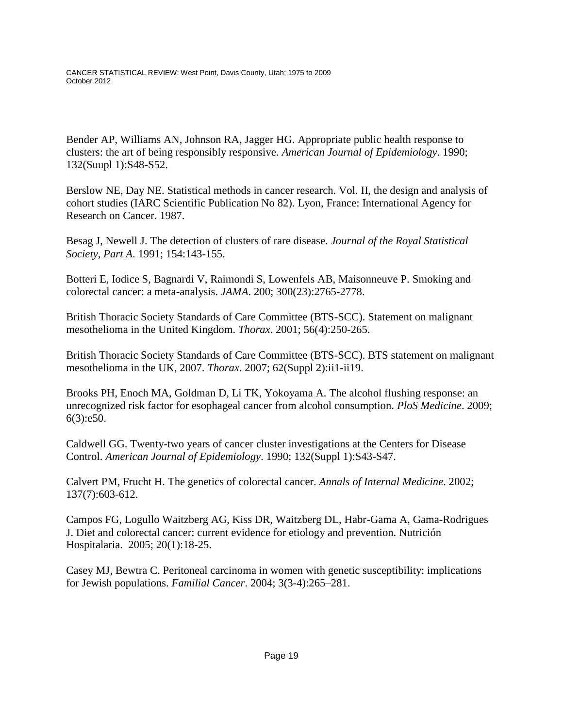Bender AP, Williams AN, Johnson RA, Jagger HG. Appropriate public health response to clusters: the art of being responsibly responsive. *American Journal of Epidemiology*. 1990; 132(Suupl 1):S48-S52.

Berslow NE, Day NE. Statistical methods in cancer research. Vol. II, the design and analysis of cohort studies (IARC Scientific Publication No 82). Lyon, France: International Agency for Research on Cancer. 1987.

Besag J, Newell J. The detection of clusters of rare disease. *Journal of the Royal Statistical Society, Part A*. 1991; 154:143-155.

Botteri E, Iodice S, Bagnardi V, Raimondi S, Lowenfels AB, Maisonneuve P. Smoking and colorectal cancer: a meta-analysis. *JAMA*. 200; 300(23):2765-2778.

British Thoracic Society Standards of Care Committee (BTS-SCC). Statement on malignant mesothelioma in the United Kingdom. *Thorax*. 2001; 56(4):250-265.

British Thoracic Society Standards of Care Committee (BTS-SCC). BTS statement on malignant mesothelioma in the UK, 2007. *Thorax*. 2007; 62(Suppl 2):ii1-ii19.

Brooks PH, Enoch MA, Goldman D, Li TK, Yokoyama A. The alcohol flushing response: an unrecognized risk factor for esophageal cancer from alcohol consumption. *PloS Medicine*. 2009; 6(3):e50.

Caldwell GG. Twenty-two years of cancer cluster investigations at the Centers for Disease Control. *American Journal of Epidemiology*. 1990; 132(Suppl 1):S43-S47.

Calvert PM, Frucht H. The genetics of colorectal cancer. *Annals of Internal Medicine*. 2002; 137(7):603-612.

Campos FG, Logullo Waitzberg AG, Kiss DR, Waitzberg DL, Habr-Gama A, Gama-Rodrigues J. Diet and colorectal cancer: current evidence for etiology and prevention. Nutrición Hospitalaria. 2005; 20(1):18-25.

Casey MJ, Bewtra C. Peritoneal carcinoma in women with genetic susceptibility: implications for Jewish populations. *Familial Cancer*. 2004; 3(3-4):265–281.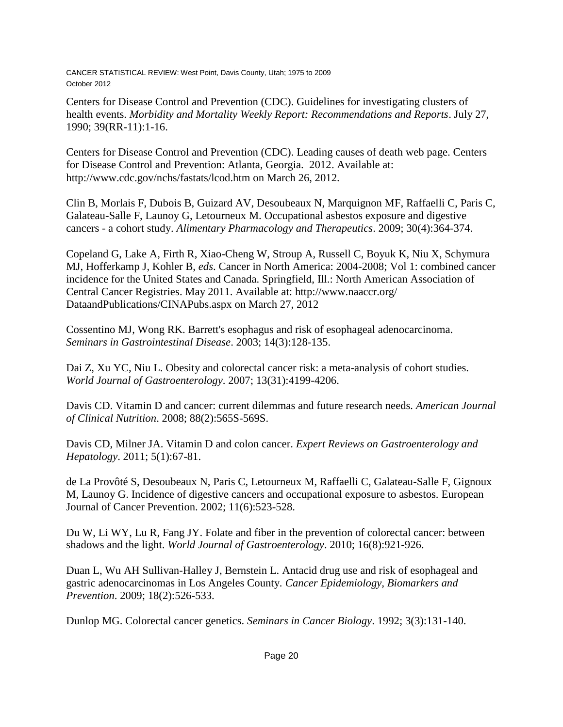Centers for Disease Control and Prevention (CDC). Guidelines for investigating clusters of health events. *Morbidity and Mortality Weekly Report: Recommendations and Reports*. July 27, 1990; 39(RR-11):1-16.

Centers for Disease Control and Prevention (CDC). Leading causes of death web page. Centers for Disease Control and Prevention: Atlanta, Georgia. 2012. Available at: http://www.cdc.gov/nchs/fastats/lcod.htm on March 26, 2012.

Clin B, Morlais F, Dubois B, Guizard AV, Desoubeaux N, Marquignon MF, Raffaelli C, Paris C, Galateau-Salle F, Launoy G, Letourneux M. Occupational asbestos exposure and digestive cancers - a cohort study. *Alimentary Pharmacology and Therapeutics*. 2009; 30(4):364-374.

Copeland G, Lake A, Firth R, Xiao-Cheng W, Stroup A, Russell C, Boyuk K, Niu X, Schymura MJ, Hofferkamp J, Kohler B, *eds*. Cancer in North America: 2004-2008; Vol 1: combined cancer incidence for the United States and Canada. Springfield, Ill.: North American Association of Central Cancer Registries. May 2011. Available at: http://www.naaccr.org/ DataandPublications/CINAPubs.aspx on March 27, 2012

Cossentino MJ, Wong RK. Barrett's esophagus and risk of esophageal adenocarcinoma. *Seminars in Gastrointestinal Disease*. 2003; 14(3):128-135.

Dai Z, Xu YC, Niu L. Obesity and colorectal cancer risk: a meta-analysis of cohort studies. *World Journal of Gastroenterology*. 2007; 13(31):4199-4206.

Davis CD. Vitamin D and cancer: current dilemmas and future research needs*. American Journal of Clinical Nutrition*. 2008; 88(2):565S-569S.

Davis CD, Milner JA. Vitamin D and colon cancer. *Expert Reviews on Gastroenterology and Hepatology*. 2011; 5(1):67-81.

de La Provôté S, Desoubeaux N, Paris C, Letourneux M, Raffaelli C, Galateau-Salle F, Gignoux M, Launoy G. Incidence of digestive cancers and occupational exposure to asbestos. European Journal of Cancer Prevention. 2002; 11(6):523-528.

Du W, Li WY, Lu R, Fang JY. Folate and fiber in the prevention of colorectal cancer: between shadows and the light. *World Journal of Gastroenterology*. 2010; 16(8):921-926.

Duan L, Wu AH Sullivan-Halley J, Bernstein L. Antacid drug use and risk of esophageal and gastric adenocarcinomas in Los Angeles County. *Cancer Epidemiology, Biomarkers and Prevention*. 2009; 18(2):526-533.

Dunlop MG. Colorectal cancer genetics. *Seminars in Cancer Biology*. 1992; 3(3):131-140.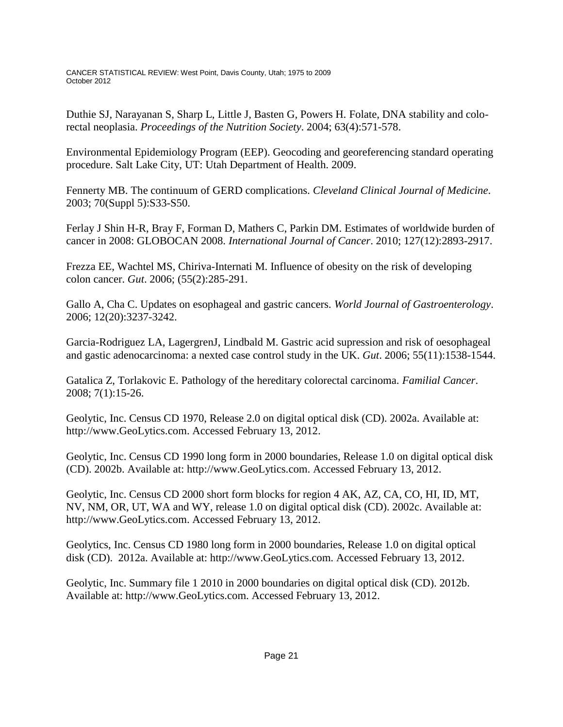Duthie SJ, Narayanan S, Sharp L, Little J, Basten G, Powers H. Folate, DNA stability and colorectal neoplasia. *Proceedings of the Nutrition Society*. 2004; 63(4):571-578.

Environmental Epidemiology Program (EEP). Geocoding and georeferencing standard operating procedure. Salt Lake City, UT: Utah Department of Health. 2009.

Fennerty MB. The continuum of GERD complications. *Cleveland Clinical Journal of Medicine*. 2003; 70(Suppl 5):S33-S50.

Ferlay J Shin H-R, Bray F, Forman D, Mathers C, Parkin DM. Estimates of worldwide burden of cancer in 2008: GLOBOCAN 2008. *International Journal of Cancer*. 2010; 127(12):2893-2917.

Frezza EE, Wachtel MS, Chiriva-Internati M. Influence of obesity on the risk of developing colon cancer. *Gut*. 2006; (55(2):285-291.

Gallo A, Cha C. Updates on esophageal and gastric cancers. *World Journal of Gastroenterology*. 2006; 12(20):3237-3242.

Garcia-Rodriguez LA, LagergrenJ, Lindbald M. Gastric acid supression and risk of oesophageal and gastic adenocarcinoma: a nexted case control study in the UK. *Gut*. 2006; 55(11):1538-1544.

Gatalica Z, Torlakovic E. Pathology of the hereditary colorectal carcinoma. *Familial Cancer*. 2008; 7(1):15-26.

Geolytic, Inc. Census CD 1970, Release 2.0 on digital optical disk (CD). 2002a. Available at: http://www.GeoLytics.com. Accessed February 13, 2012.

Geolytic, Inc. Census CD 1990 long form in 2000 boundaries, Release 1.0 on digital optical disk (CD). 2002b. Available at: http://www.GeoLytics.com. Accessed February 13, 2012.

Geolytic, Inc. Census CD 2000 short form blocks for region 4 AK, AZ, CA, CO, HI, ID, MT, NV, NM, OR, UT, WA and WY, release 1.0 on digital optical disk (CD). 2002c. Available at: http://www.GeoLytics.com. Accessed February 13, 2012.

Geolytics, Inc. Census CD 1980 long form in 2000 boundaries, Release 1.0 on digital optical disk (CD). 2012a. Available at: http://www.GeoLytics.com. Accessed February 13, 2012.

Geolytic, Inc. Summary file 1 2010 in 2000 boundaries on digital optical disk (CD). 2012b. Available at: http://www.GeoLytics.com. Accessed February 13, 2012.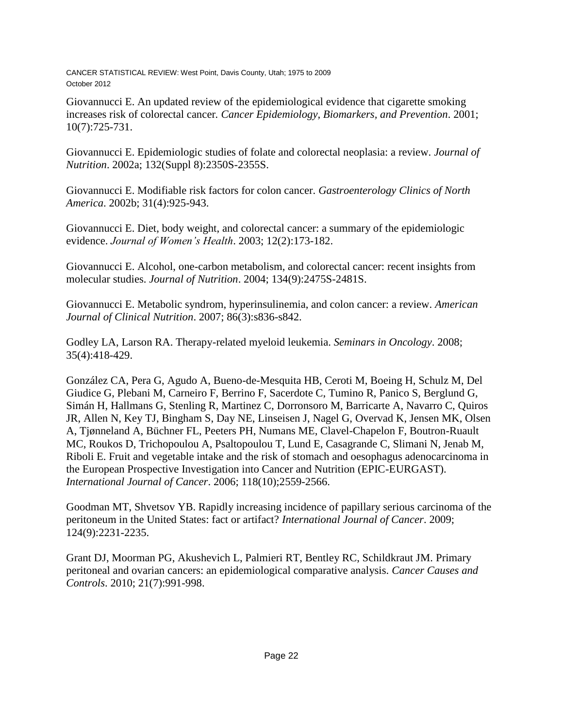Giovannucci E. An updated review of the epidemiological evidence that cigarette smoking increases risk of colorectal cancer*. Cancer Epidemiology, Biomarkers, and Prevention*. 2001; 10(7):725-731.

Giovannucci E. Epidemiologic studies of folate and colorectal neoplasia: a review. *Journal of Nutrition*. 2002a; 132(Suppl 8):2350S-2355S.

Giovannucci E. Modifiable risk factors for colon cancer. *Gastroenterology Clinics of North America*. 2002b; 31(4):925-943.

Giovannucci E. Diet, body weight, and colorectal cancer: a summary of the epidemiologic evidence. *Journal of Women's Health*. 2003; 12(2):173-182.

Giovannucci E. Alcohol, one-carbon metabolism, and colorectal cancer: recent insights from molecular studies. *Journal of Nutrition*. 2004; 134(9):2475S-2481S.

Giovannucci E. Metabolic syndrom, hyperinsulinemia, and colon cancer: a review. *American Journal of Clinical Nutrition*. 2007; 86(3):s836-s842.

Godley LA, Larson RA. Therapy-related myeloid leukemia. *Seminars in Oncology*. 2008; 35(4):418-429.

González CA, Pera G, Agudo A, Bueno-de-Mesquita HB, Ceroti M, Boeing H, Schulz M, Del Giudice G, Plebani M, Carneiro F, Berrino F, Sacerdote C, Tumino R, Panico S, Berglund G, Simán H, Hallmans G, Stenling R, Martinez C, Dorronsoro M, Barricarte A, Navarro C, Quiros JR, Allen N, Key TJ, Bingham S, Day NE, Linseisen J, Nagel G, Overvad K, Jensen MK, Olsen A, Tjønneland A, Büchner FL, Peeters PH, Numans ME, Clavel-Chapelon F, Boutron-Ruault MC, Roukos D, Trichopoulou A, Psaltopoulou T, Lund E, Casagrande C, Slimani N, Jenab M, Riboli E. Fruit and vegetable intake and the risk of stomach and oesophagus adenocarcinoma in the European Prospective Investigation into Cancer and Nutrition (EPIC-EURGAST). *International Journal of Cancer*. 2006; 118(10);2559-2566.

Goodman MT, Shvetsov YB. Rapidly increasing incidence of papillary serious carcinoma of the peritoneum in the United States: fact or artifact? *International Journal of Cancer*. 2009; 124(9):2231-2235.

Grant DJ, Moorman PG, Akushevich L, Palmieri RT, Bentley RC, Schildkraut JM. Primary peritoneal and ovarian cancers: an epidemiological comparative analysis. *Cancer Causes and Controls*. 2010; 21(7):991-998.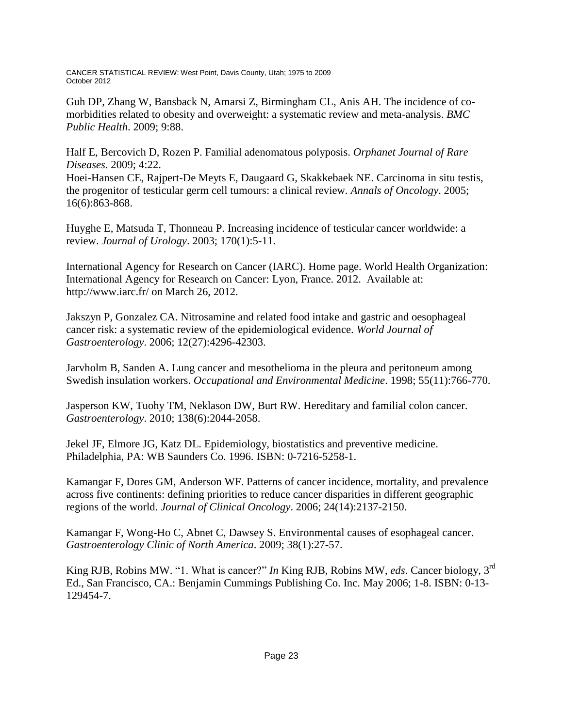Guh DP, Zhang W, Bansback N, Amarsi Z, Birmingham CL, Anis AH. The incidence of comorbidities related to obesity and overweight: a systematic review and meta-analysis. *BMC Public Health*. 2009; 9:88.

Half E, Bercovich D, Rozen P. Familial adenomatous polyposis. *Orphanet Journal of Rare Diseases*. 2009; 4:22.

Hoei-Hansen CE, Rajpert-De Meyts E, Daugaard G, Skakkebaek NE. Carcinoma in situ testis, the progenitor of testicular germ cell tumours: a clinical review. *Annals of Oncology*. 2005; 16(6):863-868.

Huyghe E, Matsuda T, Thonneau P. Increasing incidence of testicular cancer worldwide: a review. *Journal of Urology*. 2003; 170(1):5-11.

International Agency for Research on Cancer (IARC). Home page. World Health Organization: International Agency for Research on Cancer: Lyon, France. 2012. Available at: http://www.iarc.fr/ on March 26, 2012.

Jakszyn P, Gonzalez CA. Nitrosamine and related food intake and gastric and oesophageal cancer risk: a systematic review of the epidemiological evidence. *World Journal of Gastroenterology*. 2006; 12(27):4296-42303.

Jarvholm B, Sanden A. Lung cancer and mesothelioma in the pleura and peritoneum among Swedish insulation workers. *Occupational and Environmental Medicine*. 1998; 55(11):766-770.

Jasperson KW, Tuohy TM, Neklason DW, Burt RW. Hereditary and familial colon cancer. *Gastroenterology*. 2010; 138(6):2044-2058.

Jekel JF, Elmore JG, Katz DL. Epidemiology, biostatistics and preventive medicine. Philadelphia, PA: WB Saunders Co. 1996. ISBN: 0-7216-5258-1.

Kamangar F, Dores GM, Anderson WF. Patterns of cancer incidence, mortality, and prevalence across five continents: defining priorities to reduce cancer disparities in different geographic regions of the world. *Journal of Clinical Oncology*. 2006; 24(14):2137-2150.

Kamangar F, Wong-Ho C, Abnet C, Dawsey S. Environmental causes of esophageal cancer. *Gastroenterology Clinic of North America*. 2009; 38(1):27-57.

King RJB, Robins MW. "1. What is cancer?" *In* King RJB, Robins MW, *eds*. Cancer biology, 3rd Ed., San Francisco, CA.: Benjamin Cummings Publishing Co. Inc. May 2006; 1-8. ISBN: 0-13- 129454-7.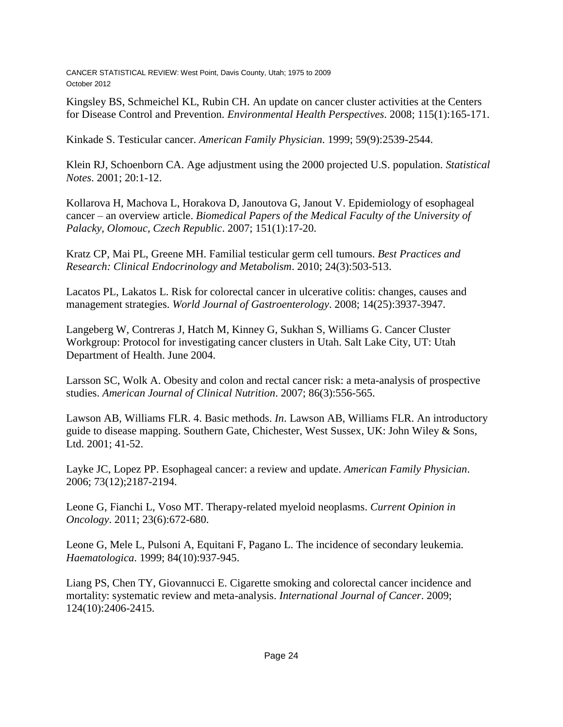Kingsley BS, Schmeichel KL, Rubin CH. An update on cancer cluster activities at the Centers for Disease Control and Prevention. *Environmental Health Perspectives*. 2008; 115(1):165-171.

Kinkade S. Testicular cancer. *American Family Physician*. 1999; 59(9):2539-2544.

Klein RJ, Schoenborn CA. Age adjustment using the 2000 projected U.S. population. *Statistical Notes*. 2001; 20:1-12.

Kollarova H, Machova L, Horakova D, Janoutova G, Janout V. Epidemiology of esophageal cancer – an overview article. *Biomedical Papers of the Medical Faculty of the University of Palacky, Olomouc, Czech Republic*. 2007; 151(1):17-20.

Kratz CP, Mai PL, Greene MH. Familial testicular germ cell tumours. *Best Practices and Research: Clinical Endocrinology and Metabolism*. 2010; 24(3):503-513.

Lacatos PL, Lakatos L. Risk for colorectal cancer in ulcerative colitis: changes, causes and management strategies. *World Journal of Gastroenterology*. 2008; 14(25):3937-3947.

Langeberg W, Contreras J, Hatch M, Kinney G, Sukhan S, Williams G. Cancer Cluster Workgroup: Protocol for investigating cancer clusters in Utah. Salt Lake City, UT: Utah Department of Health. June 2004.

Larsson SC, Wolk A. Obesity and colon and rectal cancer risk: a meta-analysis of prospective studies. *American Journal of Clinical Nutrition*. 2007; 86(3):556-565.

Lawson AB, Williams FLR. 4. Basic methods. *In*. Lawson AB, Williams FLR. An introductory guide to disease mapping. Southern Gate, Chichester, West Sussex, UK: John Wiley & Sons, Ltd. 2001; 41-52.

Layke JC, Lopez PP. Esophageal cancer: a review and update. *American Family Physician*. 2006; 73(12);2187-2194.

Leone G, Fianchi L, Voso MT. Therapy-related myeloid neoplasms. *Current Opinion in Oncology*. 2011; 23(6):672-680.

Leone G, Mele L, Pulsoni A, Equitani F, Pagano L. The incidence of secondary leukemia. *Haematologica*. 1999; 84(10):937-945.

Liang PS, Chen TY, Giovannucci E. Cigarette smoking and colorectal cancer incidence and mortality: systematic review and meta-analysis. *International Journal of Cancer*. 2009; 124(10):2406-2415.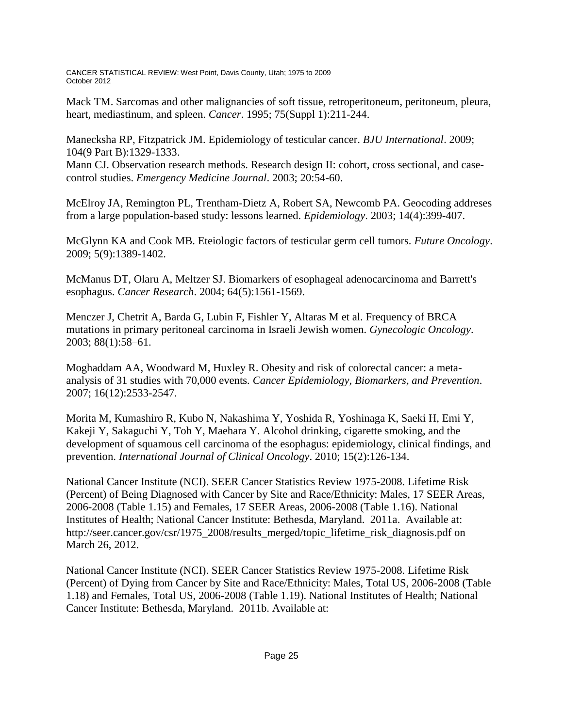Mack TM. Sarcomas and other malignancies of soft tissue, retroperitoneum, peritoneum, pleura, heart, mediastinum, and spleen. *Cancer*. 1995; 75(Suppl 1):211-244.

Manecksha RP, Fitzpatrick JM. Epidemiology of testicular cancer. *BJU International*. 2009; 104(9 Part B):1329-1333.

Mann CJ. Observation research methods. Research design II: cohort, cross sectional, and casecontrol studies. *Emergency Medicine Journal*. 2003; 20:54-60.

McElroy JA, Remington PL, Trentham-Dietz A, Robert SA, Newcomb PA. Geocoding addreses from a large population-based study: lessons learned. *Epidemiology*. 2003; 14(4):399-407.

McGlynn KA and Cook MB. Eteiologic factors of testicular germ cell tumors. *Future Oncology*. 2009; 5(9):1389-1402.

McManus DT, Olaru A, Meltzer SJ. Biomarkers of esophageal adenocarcinoma and Barrett's esophagus. *Cancer Research*. 2004; 64(5):1561-1569.

Menczer J, Chetrit A, Barda G, Lubin F, Fishler Y, Altaras M et al. Frequency of BRCA mutations in primary peritoneal carcinoma in Israeli Jewish women. *Gynecologic Oncology*. 2003; 88(1):58–61.

Moghaddam AA, Woodward M, Huxley R. Obesity and risk of colorectal cancer: a metaanalysis of 31 studies with 70,000 events. *Cancer Epidemiology, Biomarkers, and Prevention*. 2007; 16(12):2533-2547.

Morita M, Kumashiro R, Kubo N, Nakashima Y, Yoshida R, Yoshinaga K, Saeki H, Emi Y, Kakeji Y, Sakaguchi Y, Toh Y, Maehara Y. Alcohol drinking, cigarette smoking, and the development of squamous cell carcinoma of the esophagus: epidemiology, clinical findings, and prevention. *International Journal of Clinical Oncology*. 2010; 15(2):126-134.

National Cancer Institute (NCI). SEER Cancer Statistics Review 1975-2008. Lifetime Risk (Percent) of Being Diagnosed with Cancer by Site and Race/Ethnicity: Males, 17 SEER Areas, 2006-2008 (Table 1.15) and Females, 17 SEER Areas, 2006-2008 (Table 1.16). National Institutes of Health; National Cancer Institute: Bethesda, Maryland. 2011a. Available at: http://seer.cancer.gov/csr/1975\_2008/results\_merged/topic\_lifetime\_risk\_diagnosis.pdf on March 26, 2012.

National Cancer Institute (NCI). SEER Cancer Statistics Review 1975-2008. Lifetime Risk (Percent) of Dying from Cancer by Site and Race/Ethnicity: Males, Total US, 2006-2008 (Table 1.18) and Females, Total US, 2006-2008 (Table 1.19). National Institutes of Health; National Cancer Institute: Bethesda, Maryland. 2011b. Available at: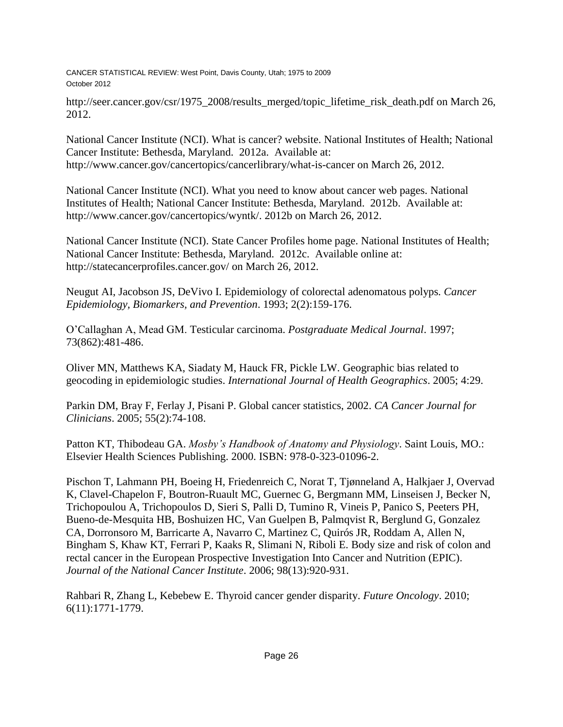http://seer.cancer.gov/csr/1975\_2008/results\_merged/topic\_lifetime\_risk\_death.pdf on March 26, 2012.

National Cancer Institute (NCI). What is cancer? website. National Institutes of Health; National Cancer Institute: Bethesda, Maryland. 2012a. Available at: http://www.cancer.gov/cancertopics/cancerlibrary/what-is-cancer on March 26, 2012.

National Cancer Institute (NCI). What you need to know about cancer web pages. National Institutes of Health; National Cancer Institute: Bethesda, Maryland. 2012b. Available at: http://www.cancer.gov/cancertopics/wyntk/. 2012b on March 26, 2012.

National Cancer Institute (NCI). State Cancer Profiles home page. National Institutes of Health; National Cancer Institute: Bethesda, Maryland. 2012c. Available online at: http://statecancerprofiles.cancer.gov/ on March 26, 2012.

Neugut AI, Jacobson JS, DeVivo I. Epidemiology of colorectal adenomatous polyps*. Cancer Epidemiology, Biomarkers, and Prevention*. 1993; 2(2):159-176.

O'Callaghan A, Mead GM. Testicular carcinoma. *Postgraduate Medical Journal*. 1997; 73(862):481-486.

Oliver MN, Matthews KA, Siadaty M, Hauck FR, Pickle LW. Geographic bias related to geocoding in epidemiologic studies. *International Journal of Health Geographics*. 2005; 4:29.

Parkin DM, Bray F, Ferlay J, Pisani P. Global cancer statistics, 2002. *CA Cancer Journal for Clinicians*. 2005; 55(2):74-108.

Patton KT, Thibodeau GA. *Mosby's Handbook of Anatomy and Physiology*. Saint Louis, MO.: Elsevier Health Sciences Publishing. 2000. ISBN: 978-0-323-01096-2.

Pischon T, Lahmann PH, Boeing H, Friedenreich C, Norat T, Tjønneland A, Halkjaer J, Overvad K, Clavel-Chapelon F, Boutron-Ruault MC, Guernec G, Bergmann MM, Linseisen J, Becker N, Trichopoulou A, Trichopoulos D, Sieri S, Palli D, Tumino R, Vineis P, Panico S, Peeters PH, Bueno-de-Mesquita HB, Boshuizen HC, Van Guelpen B, Palmqvist R, Berglund G, Gonzalez CA, Dorronsoro M, Barricarte A, Navarro C, Martinez C, Quirós JR, Roddam A, Allen N, Bingham S, Khaw KT, Ferrari P, Kaaks R, Slimani N, Riboli E. Body size and risk of colon and rectal cancer in the European Prospective Investigation Into Cancer and Nutrition (EPIC). *Journal of the National Cancer Institute*. 2006; 98(13):920-931.

Rahbari R, Zhang L, Kebebew E. Thyroid cancer gender disparity. *Future Oncology*. 2010; 6(11):1771-1779.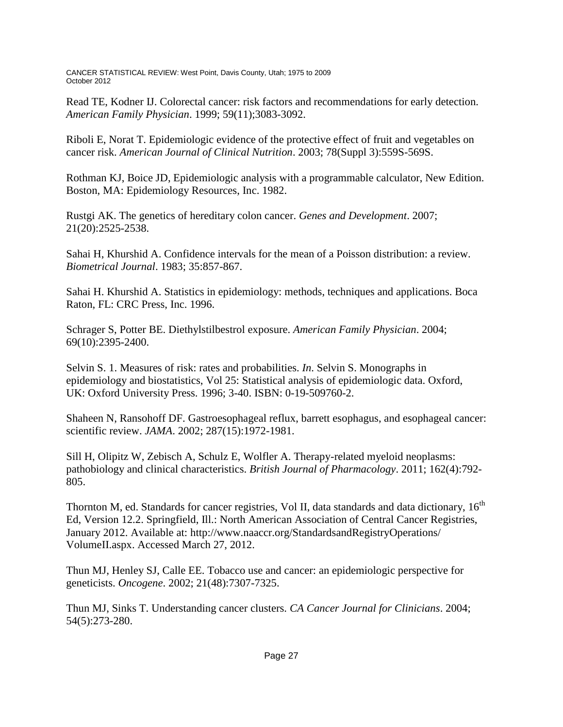Read TE, Kodner IJ. Colorectal cancer: risk factors and recommendations for early detection*. American Family Physician*. 1999; 59(11);3083-3092.

Riboli E, Norat T. Epidemiologic evidence of the protective effect of fruit and vegetables on cancer risk. *American Journal of Clinical Nutrition*. 2003; 78(Suppl 3):559S-569S.

Rothman KJ, Boice JD, Epidemiologic analysis with a programmable calculator, New Edition. Boston, MA: Epidemiology Resources, Inc. 1982.

Rustgi AK. The genetics of hereditary colon cancer. *Genes and Development*. 2007; 21(20):2525-2538.

Sahai H, Khurshid A. Confidence intervals for the mean of a Poisson distribution: a review. *Biometrical Journal*. 1983; 35:857-867.

Sahai H. Khurshid A. Statistics in epidemiology: methods, techniques and applications. Boca Raton, FL: CRC Press, Inc. 1996.

Schrager S, Potter BE. Diethylstilbestrol exposure. *American Family Physician*. 2004; 69(10):2395-2400.

Selvin S. 1. Measures of risk: rates and probabilities. *In*. Selvin S. Monographs in epidemiology and biostatistics, Vol 25: Statistical analysis of epidemiologic data. Oxford, UK: Oxford University Press. 1996; 3-40. ISBN: 0-19-509760-2.

Shaheen N, Ransohoff DF. Gastroesophageal reflux, barrett esophagus, and esophageal cancer: scientific review. *JAMA*. 2002; 287(15):1972-1981.

Sill H, Olipitz W, Zebisch A, Schulz E, Wolfler A. Therapy-related myeloid neoplasms: pathobiology and clinical characteristics. *British Journal of Pharmacology*. 2011; 162(4):792- 805.

Thornton M, ed. Standards for cancer registries, Vol II, data standards and data dictionary,  $16<sup>th</sup>$ Ed, Version 12.2. Springfield, Ill.: North American Association of Central Cancer Registries, January 2012. Available at: http://www.naaccr.org/StandardsandRegistryOperations/ VolumeII.aspx. Accessed March 27, 2012.

Thun MJ, Henley SJ, Calle EE. Tobacco use and cancer: an epidemiologic perspective for geneticists. *Oncogene*. 2002; 21(48):7307-7325.

Thun MJ, Sinks T. Understanding cancer clusters. *CA Cancer Journal for Clinicians*. 2004; 54(5):273-280.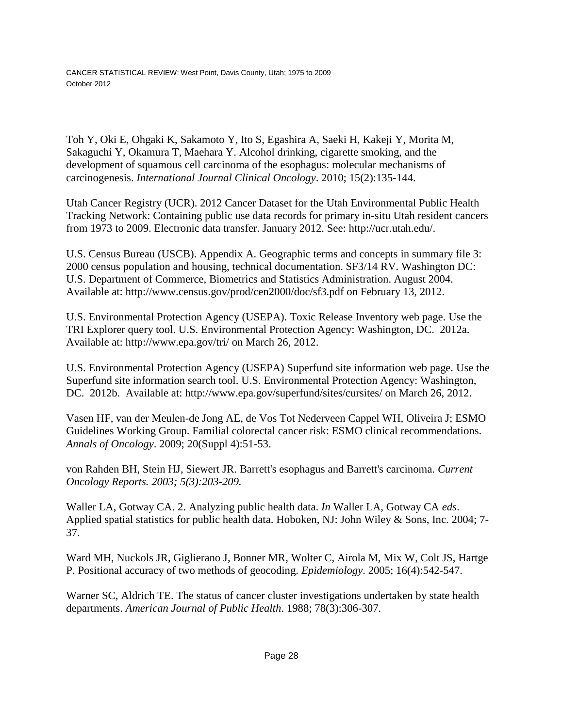Toh Y, Oki E, Ohgaki K, Sakamoto Y, Ito S, Egashira A, Saeki H, Kakeji Y, Morita M, Sakaguchi Y, Okamura T, Maehara Y. Alcohol drinking, cigarette smoking, and the development of squamous cell carcinoma of the esophagus: molecular mechanisms of carcinogenesis. *International Journal Clinical Oncology*. 2010; 15(2):135-144.

Utah Cancer Registry (UCR). 2012 Cancer Dataset for the Utah Environmental Public Health Tracking Network: Containing public use data records for primary in-situ Utah resident cancers from 1973 to 2009. Electronic data transfer. January 2012. See: http://ucr.utah.edu/.

U.S. Census Bureau (USCB). Appendix A. Geographic terms and concepts in summary file 3: 2000 census population and housing, technical documentation. SF3/14 RV. Washington DC: U.S. Department of Commerce, Biometrics and Statistics Administration. August 2004. Available at: http://www.census.gov/prod/cen2000/doc/sf3.pdf on February 13, 2012.

U.S. Environmental Protection Agency (USEPA). Toxic Release Inventory web page. Use the TRI Explorer query tool. U.S. Environmental Protection Agency: Washington, DC. 2012a. Available at: http://www.epa.gov/tri/ on March 26, 2012.

U.S. Environmental Protection Agency (USEPA) Superfund site information web page. Use the Superfund site information search tool. U.S. Environmental Protection Agency: Washington, DC. 2012b. Available at: http://www.epa.gov/superfund/sites/cursites/ on March 26, 2012.

Vasen HF, van der Meulen-de Jong AE, de Vos Tot Nederveen Cappel WH, Oliveira J; ESMO Guidelines Working Group. Familial colorectal cancer risk: ESMO clinical recommendations. *Annals of Oncology*. 2009; 20(Suppl 4):51-53.

von Rahden BH, Stein HJ, Siewert JR. Barrett's esophagus and Barrett's carcinoma. *Current Oncology Reports. 2003; 5(3):203-209.*

Waller LA, Gotway CA. 2. Analyzing public health data. *In* Waller LA, Gotway CA *eds*. Applied spatial statistics for public health data. Hoboken, NJ: John Wiley & Sons, Inc. 2004; 7- 37.

Ward MH, Nuckols JR, Giglierano J, Bonner MR, Wolter C, Airola M, Mix W, Colt JS, Hartge P. Positional accuracy of two methods of geocoding. *Epidemiology*. 2005; 16(4):542-547.

Warner SC, Aldrich TE. The status of cancer cluster investigations undertaken by state health departments. *American Journal of Public Health*. 1988; 78(3):306-307.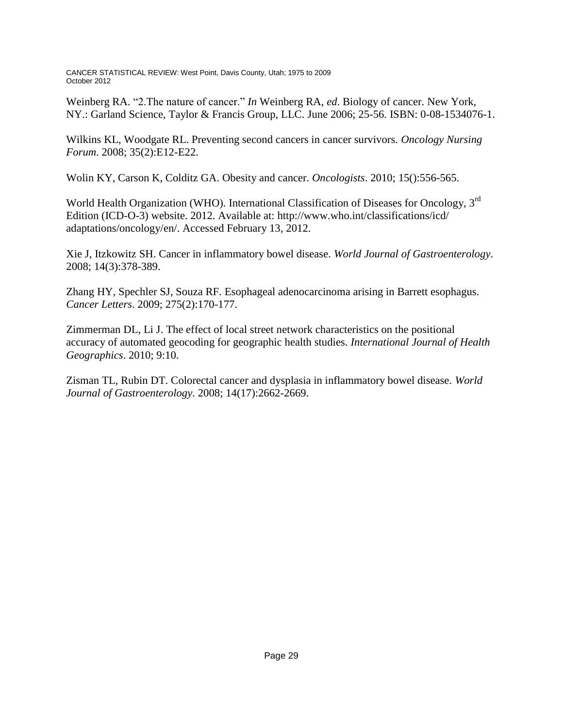Weinberg RA. "2.The nature of cancer." *In* Weinberg RA, *ed*. Biology of cancer. New York, NY.: Garland Science, Taylor & Francis Group, LLC. June 2006; 25-56. ISBN: 0-08-1534076-1.

Wilkins KL, Woodgate RL. Preventing second cancers in cancer survivors. *Oncology Nursing Forum*. 2008; 35(2):E12-E22.

Wolin KY, Carson K, Colditz GA. Obesity and cancer. *Oncologists*. 2010; 15():556-565.

World Health Organization (WHO). International Classification of Diseases for Oncology, 3<sup>rd</sup> Edition (ICD-O-3) website. 2012. Available at: http://www.who.int/classifications/icd/ adaptations/oncology/en/. Accessed February 13, 2012.

Xie J, Itzkowitz SH. Cancer in inflammatory bowel disease. *World Journal of Gastroenterology*. 2008; 14(3):378-389.

Zhang HY, Spechler SJ, Souza RF. Esophageal adenocarcinoma arising in Barrett esophagus. *Cancer Letters*. 2009; 275(2):170-177.

Zimmerman DL, Li J. The effect of local street network characteristics on the positional accuracy of automated geocoding for geographic health studies. *International Journal of Health Geographics*. 2010; 9:10.

Zisman TL, Rubin DT. Colorectal cancer and dysplasia in inflammatory bowel disease. *World Journal of Gastroenterology*. 2008; 14(17):2662-2669.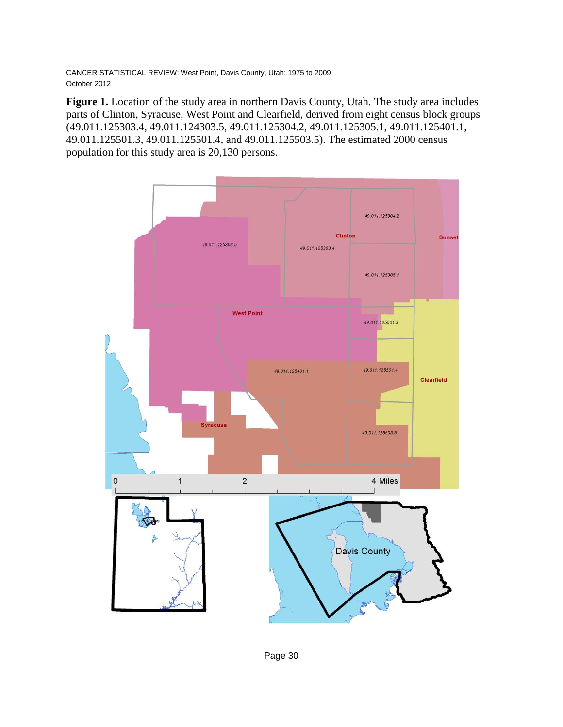**Figure 1.** Location of the study area in northern Davis County, Utah. The study area includes parts of Clinton, Syracuse, West Point and Clearfield, derived from eight census block groups (49.011.125303.4, 49.011.124303.5, 49.011.125304.2, 49.011.125305.1, 49.011.125401.1, 49.011.125501.3, 49.011.125501.4, and 49.011.125503.5). The estimated 2000 census population for this study area is 20,130 persons.

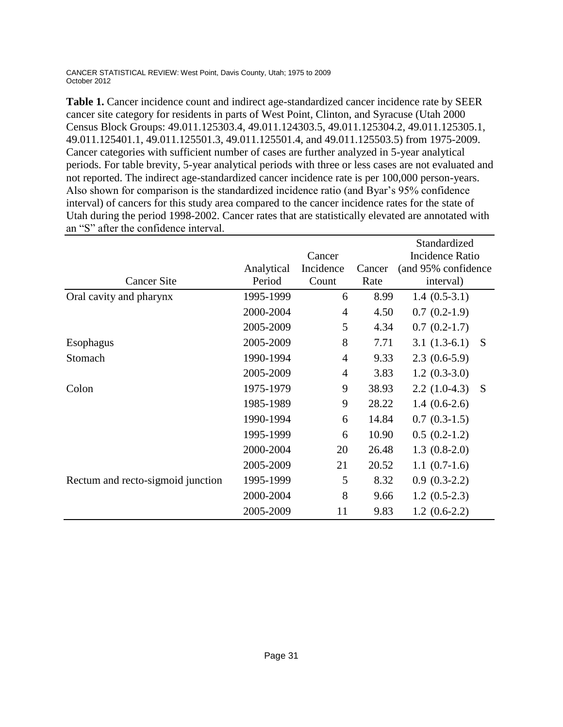|                                   |            |                | Standardized |                     |  |
|-----------------------------------|------------|----------------|--------------|---------------------|--|
|                                   |            | Cancer         |              | Incidence Ratio     |  |
|                                   | Analytical | Incidence      | Cancer       | (and 95% confidence |  |
| <b>Cancer Site</b>                | Period     | Count          | Rate         | interval)           |  |
| Oral cavity and pharynx           | 1995-1999  | 6              | 8.99         | $1.4(0.5-3.1)$      |  |
|                                   | 2000-2004  | 4              | 4.50         | $0.7(0.2-1.9)$      |  |
|                                   | 2005-2009  | 5              | 4.34         | $0.7(0.2-1.7)$      |  |
| Esophagus                         | 2005-2009  | 8              | 7.71         | $3.1(1.3-6.1)$<br>S |  |
| Stomach                           | 1990-1994  | 4              | 9.33         | $2.3(0.6-5.9)$      |  |
|                                   | 2005-2009  | $\overline{4}$ | 3.83         | $1.2(0.3-3.0)$      |  |
| Colon                             | 1975-1979  | 9              | 38.93        | $2.2(1.0-4.3)$<br>S |  |
|                                   | 1985-1989  | 9              | 28.22        | $1.4(0.6-2.6)$      |  |
|                                   | 1990-1994  | 6              | 14.84        | $0.7(0.3-1.5)$      |  |
|                                   | 1995-1999  | 6              | 10.90        | $0.5(0.2-1.2)$      |  |
|                                   | 2000-2004  | 20             | 26.48        | $1.3(0.8-2.0)$      |  |
|                                   | 2005-2009  | 21             | 20.52        | $1.1(0.7-1.6)$      |  |
| Rectum and recto-sigmoid junction | 1995-1999  | 5              | 8.32         | $0.9(0.3-2.2)$      |  |
|                                   | 2000-2004  | 8              | 9.66         | $1.2(0.5-2.3)$      |  |
|                                   | 2005-2009  | 11             | 9.83         | $1.2(0.6-2.2)$      |  |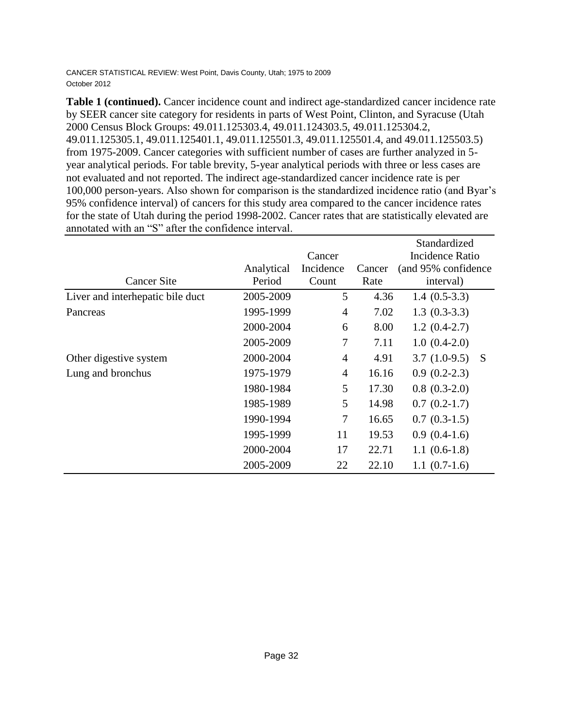|                                  |            |                |                 | Standardized                  |
|----------------------------------|------------|----------------|-----------------|-------------------------------|
|                                  |            | Cancer         | Incidence Ratio |                               |
|                                  | Analytical | Incidence      | Cancer          | (and 95% confidence)          |
| <b>Cancer Site</b>               | Period     | Count          | Rate            | interval)                     |
| Liver and interhepatic bile duct | 2005-2009  | 5              | 4.36            | $1.4(0.5-3.3)$                |
| Pancreas                         | 1995-1999  | $\overline{4}$ | 7.02            | $1.3(0.3-3.3)$                |
|                                  | 2000-2004  | 6              | 8.00            | $1.2(0.4-2.7)$                |
|                                  | 2005-2009  | 7              | 7.11            | $1.0(0.4-2.0)$                |
| Other digestive system           | 2000-2004  | $\overline{4}$ | 4.91            | $3.7(1.0-9.5)$<br>$\mathbf S$ |
| Lung and bronchus                | 1975-1979  | $\overline{4}$ | 16.16           | $0.9(0.2-2.3)$                |
|                                  | 1980-1984  | 5              | 17.30           | $0.8(0.3-2.0)$                |
|                                  | 1985-1989  | 5              | 14.98           | $0.7(0.2-1.7)$                |
|                                  | 1990-1994  | 7              | 16.65           | $0.7(0.3-1.5)$                |
|                                  | 1995-1999  | 11             | 19.53           | $0.9(0.4-1.6)$                |
|                                  | 2000-2004  | 17             | 22.71           | $1.1(0.6-1.8)$                |
|                                  | 2005-2009  | 22             | 22.10           | $1.1(0.7-1.6)$                |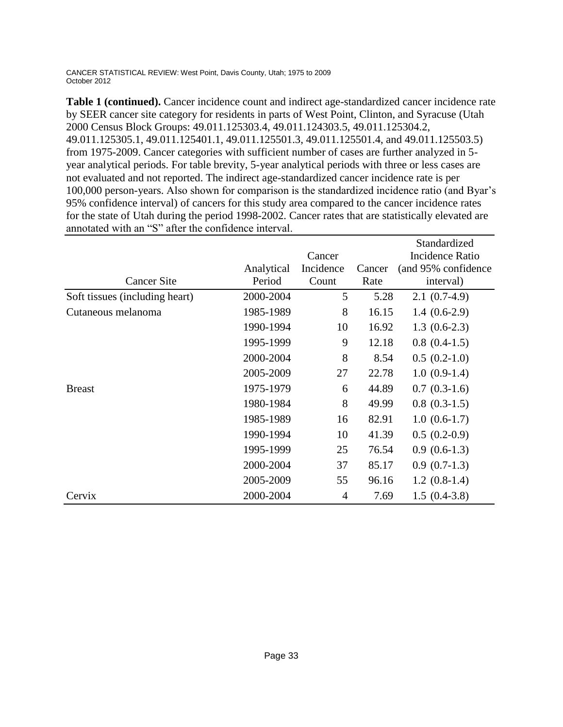|                                |            |           |        | Standardized           |
|--------------------------------|------------|-----------|--------|------------------------|
|                                |            | Cancer    |        | <b>Incidence Ratio</b> |
|                                | Analytical | Incidence | Cancer | (and 95% confidence)   |
| <b>Cancer Site</b>             | Period     | Count     | Rate   | interval)              |
| Soft tissues (including heart) | 2000-2004  | 5         | 5.28   | $2.1(0.7-4.9)$         |
| Cutaneous melanoma             | 1985-1989  | 8         | 16.15  | $1.4(0.6-2.9)$         |
|                                | 1990-1994  | 10        | 16.92  | $1.3(0.6-2.3)$         |
|                                | 1995-1999  | 9         | 12.18  | $0.8(0.4-1.5)$         |
|                                | 2000-2004  | 8         | 8.54   | $0.5(0.2-1.0)$         |
|                                | 2005-2009  | 27        | 22.78  | $1.0(0.9-1.4)$         |
| <b>Breast</b>                  | 1975-1979  | 6         | 44.89  | $0.7(0.3-1.6)$         |
|                                | 1980-1984  | 8         | 49.99  | $0.8(0.3-1.5)$         |
|                                | 1985-1989  | 16        | 82.91  | $1.0(0.6-1.7)$         |
|                                | 1990-1994  | 10        | 41.39  | $0.5(0.2-0.9)$         |
|                                | 1995-1999  | 25        | 76.54  | $0.9(0.6-1.3)$         |
|                                | 2000-2004  | 37        | 85.17  | $0.9(0.7-1.3)$         |
|                                | 2005-2009  | 55        | 96.16  | $1.2(0.8-1.4)$         |
| Cervix                         | 2000-2004  | 4         | 7.69   | $1.5(0.4-3.8)$         |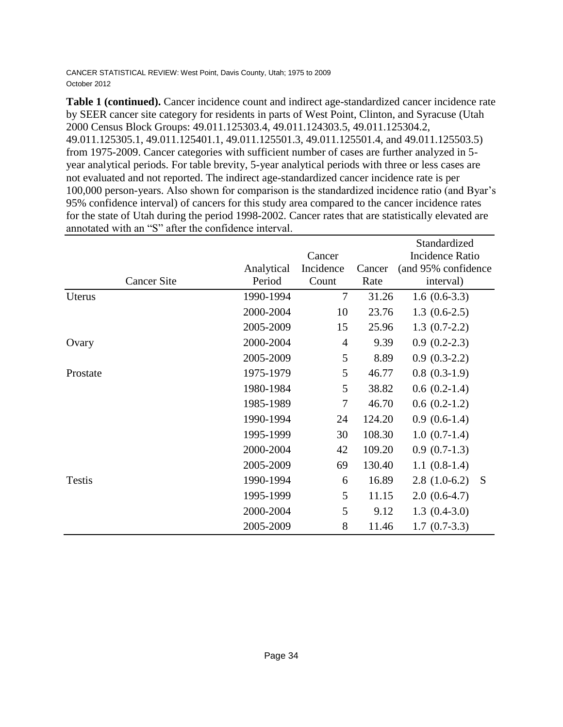|                    |            |                |        | Standardized           |
|--------------------|------------|----------------|--------|------------------------|
|                    |            | Cancer         |        | <b>Incidence Ratio</b> |
|                    | Analytical | Incidence      | Cancer | (and 95% confidence    |
| <b>Cancer Site</b> | Period     | Count          | Rate   | interval)              |
| Uterus             | 1990-1994  | $\tau$         | 31.26  | $1.6(0.6-3.3)$         |
|                    | 2000-2004  | 10             | 23.76  | $1.3(0.6-2.5)$         |
|                    | 2005-2009  | 15             | 25.96  | $1.3(0.7-2.2)$         |
| Ovary              | 2000-2004  | $\overline{4}$ | 9.39   | $0.9(0.2-2.3)$         |
|                    | 2005-2009  | 5              | 8.89   | $0.9(0.3-2.2)$         |
| Prostate           | 1975-1979  | 5              | 46.77  | $0.8(0.3-1.9)$         |
|                    | 1980-1984  | 5              | 38.82  | $0.6(0.2-1.4)$         |
|                    | 1985-1989  | 7              | 46.70  | $0.6(0.2-1.2)$         |
|                    | 1990-1994  | 24             | 124.20 | $0.9(0.6-1.4)$         |
|                    | 1995-1999  | 30             | 108.30 | $1.0(0.7-1.4)$         |
|                    | 2000-2004  | 42             | 109.20 | $0.9(0.7-1.3)$         |
|                    | 2005-2009  | 69             | 130.40 | $1.1(0.8-1.4)$         |
| <b>Testis</b>      | 1990-1994  | 6              | 16.89  | $2.8(1.0-6.2)$<br>S    |
|                    | 1995-1999  | 5              | 11.15  | $2.0(0.6-4.7)$         |
|                    | 2000-2004  | 5              | 9.12   | $1.3(0.4-3.0)$         |
|                    | 2005-2009  | 8              | 11.46  | $1.7(0.7-3.3)$         |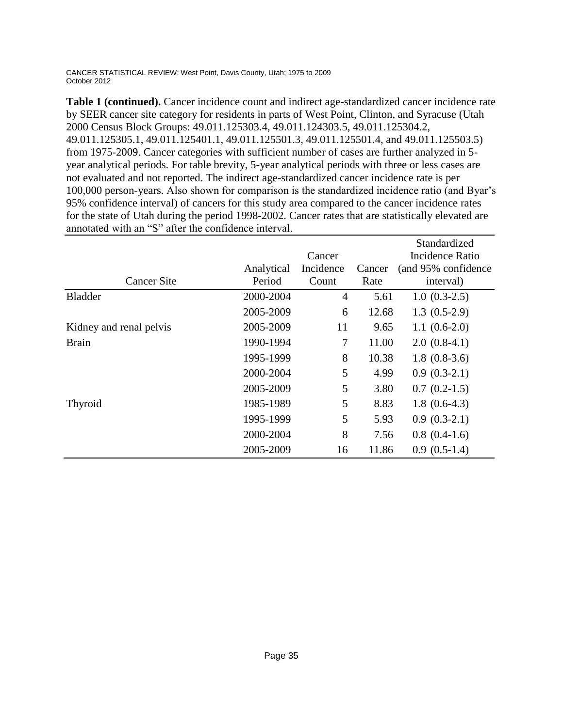|                         |            |           |        | Standardized        |
|-------------------------|------------|-----------|--------|---------------------|
|                         |            | Cancer    |        | Incidence Ratio     |
|                         | Analytical | Incidence | Cancer | (and 95% confidence |
| <b>Cancer Site</b>      | Period     | Count     | Rate   | interval)           |
| <b>Bladder</b>          | 2000-2004  | 4         | 5.61   | $1.0(0.3-2.5)$      |
|                         | 2005-2009  | 6         | 12.68  | $1.3(0.5-2.9)$      |
| Kidney and renal pelvis | 2005-2009  | 11        | 9.65   | $1.1(0.6-2.0)$      |
| <b>Brain</b>            | 1990-1994  | 7         | 11.00  | $2.0(0.8-4.1)$      |
|                         | 1995-1999  | 8         | 10.38  | $1.8(0.8-3.6)$      |
|                         | 2000-2004  | 5         | 4.99   | $0.9(0.3-2.1)$      |
|                         | 2005-2009  | 5         | 3.80   | $0.7(0.2-1.5)$      |
| Thyroid                 | 1985-1989  | 5         | 8.83   | $1.8(0.6-4.3)$      |
|                         | 1995-1999  | 5         | 5.93   | $0.9(0.3-2.1)$      |
|                         | 2000-2004  | 8         | 7.56   | $0.8(0.4-1.6)$      |
|                         | 2005-2009  | 16        | 11.86  | $0.9(0.5-1.4)$      |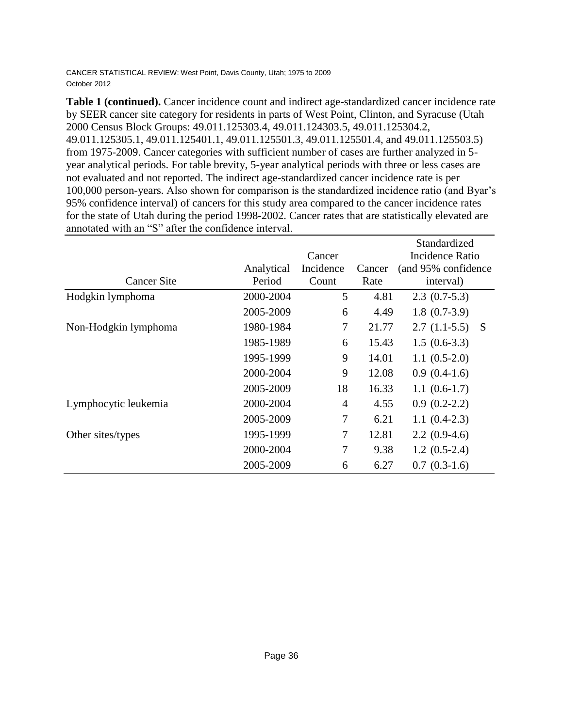|                      |            | Standardized   |        |                        |              |  |
|----------------------|------------|----------------|--------|------------------------|--------------|--|
|                      |            | Cancer         |        | <b>Incidence Ratio</b> |              |  |
|                      | Analytical | Incidence      | Cancer | (and 95% confidence)   |              |  |
| <b>Cancer Site</b>   | Period     | Count          | Rate   | interval)              |              |  |
| Hodgkin lymphoma     | 2000-2004  | 5              | 4.81   | $2.3(0.7-5.3)$         |              |  |
|                      | 2005-2009  | 6              | 4.49   | $1.8(0.7-3.9)$         |              |  |
| Non-Hodgkin lymphoma | 1980-1984  | 7              | 21.77  | $2.7(1.1-5.5)$         | <sub>S</sub> |  |
|                      | 1985-1989  | 6              | 15.43  | $1.5(0.6-3.3)$         |              |  |
|                      | 1995-1999  | 9              | 14.01  | $1.1(0.5-2.0)$         |              |  |
|                      | 2000-2004  | 9              | 12.08  | $0.9(0.4-1.6)$         |              |  |
|                      | 2005-2009  | 18             | 16.33  | $1.1(0.6-1.7)$         |              |  |
| Lymphocytic leukemia | 2000-2004  | $\overline{4}$ | 4.55   | $0.9(0.2-2.2)$         |              |  |
|                      | 2005-2009  | 7              | 6.21   | $1.1(0.4-2.3)$         |              |  |
| Other sites/types    | 1995-1999  | 7              | 12.81  | $2.2(0.9-4.6)$         |              |  |
|                      | 2000-2004  | $\overline{7}$ | 9.38   | $1.2(0.5-2.4)$         |              |  |
|                      | 2005-2009  | 6              | 6.27   | $0.7(0.3-1.6)$         |              |  |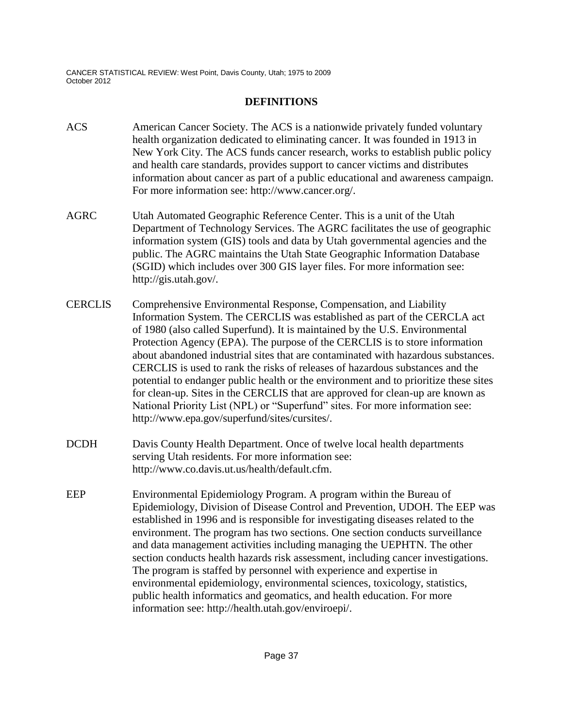#### **DEFINITIONS**

- ACS American Cancer Society. The ACS is a nationwide privately funded voluntary health organization dedicated to eliminating cancer. It was founded in 1913 in New York City. The ACS funds cancer research, works to establish public policy and health care standards, provides support to cancer victims and distributes information about cancer as part of a public educational and awareness campaign. For more information see: http://www.cancer.org/.
- AGRC Utah Automated Geographic Reference Center. This is a unit of the Utah Department of Technology Services. The AGRC facilitates the use of geographic information system (GIS) tools and data by Utah governmental agencies and the public. The AGRC maintains the Utah State Geographic Information Database (SGID) which includes over 300 GIS layer files. For more information see: http://gis.utah.gov/.
- CERCLIS Comprehensive Environmental Response, Compensation, and Liability Information System. The CERCLIS was established as part of the CERCLA act of 1980 (also called Superfund). It is maintained by the U.S. Environmental Protection Agency (EPA). The purpose of the CERCLIS is to store information about abandoned industrial sites that are contaminated with hazardous substances. CERCLIS is used to rank the risks of releases of hazardous substances and the potential to endanger public health or the environment and to prioritize these sites for clean-up. Sites in the CERCLIS that are approved for clean-up are known as National Priority List (NPL) or "Superfund" sites. For more information see: http://www.epa.gov/superfund/sites/cursites/.
- DCDH Davis County Health Department. Once of twelve local health departments serving Utah residents. For more information see: http://www.co.davis.ut.us/health/default.cfm.
- EEP Environmental Epidemiology Program. A program within the Bureau of Epidemiology, Division of Disease Control and Prevention, UDOH. The EEP was established in 1996 and is responsible for investigating diseases related to the environment. The program has two sections. One section conducts surveillance and data management activities including managing the UEPHTN. The other section conducts health hazards risk assessment, including cancer investigations. The program is staffed by personnel with experience and expertise in environmental epidemiology, environmental sciences, toxicology, statistics, public health informatics and geomatics, and health education. For more information see: http://health.utah.gov/enviroepi/.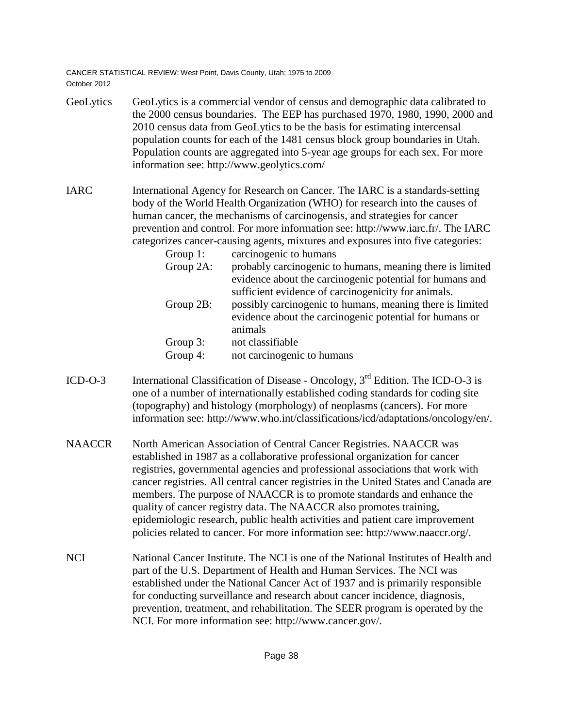- GeoLytics GeoLytics is a commercial vendor of census and demographic data calibrated to the 2000 census boundaries. The EEP has purchased 1970, 1980, 1990, 2000 and 2010 census data from GeoLytics to be the basis for estimating intercensal population counts for each of the 1481 census block group boundaries in Utah. Population counts are aggregated into 5-year age groups for each sex. For more information see: http://www.geolytics.com/
- IARC International Agency for Research on Cancer. The IARC is a standards-setting body of the World Health Organization (WHO) for research into the causes of human cancer, the mechanisms of carcinogensis, and strategies for cancer prevention and control. For more information see: http://www.iarc.fr/. The IARC categorizes cancer-causing agents, mixtures and exposures into five categories:
	- Group 1: carcinogenic to humans Group 2A: probably carcinogenic to humans, meaning there is limited evidence about the carcinogenic potential for humans and sufficient evidence of carcinogenicity for animals. Group 2B: possibly carcinogenic to humans, meaning there is limited evidence about the carcinogenic potential for humans or animals Group 3: not classifiable Group 4: not carcinogenic to humans
- ICD-O-3 International Classification of Disease Oncology,  $3<sup>rd</sup>$  Edition. The ICD-O-3 is one of a number of internationally established coding standards for coding site (topography) and histology (morphology) of neoplasms (cancers). For more information see: http://www.who.int/classifications/icd/adaptations/oncology/en/.
- NAACCR North American Association of Central Cancer Registries. NAACCR was established in 1987 as a collaborative professional organization for cancer registries, governmental agencies and professional associations that work with cancer registries. All central cancer registries in the United States and Canada are members. The purpose of NAACCR is to promote standards and enhance the quality of cancer registry data. The NAACCR also promotes training, epidemiologic research, public health activities and patient care improvement policies related to cancer. For more information see: http://www.naaccr.org/.
- NCI National Cancer Institute. The NCI is one of the National Institutes of Health and part of the U.S. Department of Health and Human Services. The NCI was established under the National Cancer Act of 1937 and is primarily responsible for conducting surveillance and research about cancer incidence, diagnosis, prevention, treatment, and rehabilitation. The SEER program is operated by the NCI. For more information see: http://www.cancer.gov/.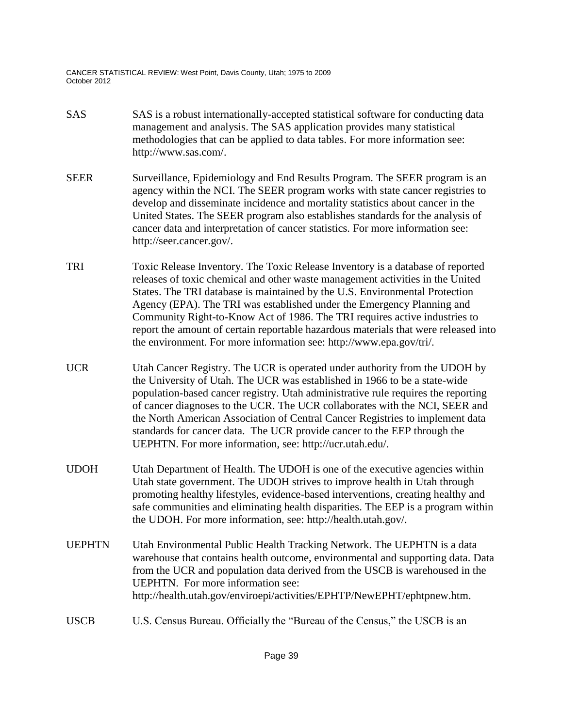- SAS SAS is a robust internationally-accepted statistical software for conducting data management and analysis. The SAS application provides many statistical methodologies that can be applied to data tables. For more information see: http://www.sas.com/.
- SEER Surveillance, Epidemiology and End Results Program. The SEER program is an agency within the NCI. The SEER program works with state cancer registries to develop and disseminate incidence and mortality statistics about cancer in the United States. The SEER program also establishes standards for the analysis of cancer data and interpretation of cancer statistics. For more information see: http://seer.cancer.gov/.
- TRI Toxic Release Inventory. The Toxic Release Inventory is a database of reported releases of toxic chemical and other waste management activities in the United States. The TRI database is maintained by the U.S. Environmental Protection Agency (EPA). The TRI was established under the Emergency Planning and Community Right-to-Know Act of 1986. The TRI requires active industries to report the amount of certain reportable hazardous materials that were released into the environment. For more information see: http://www.epa.gov/tri/.
- UCR Utah Cancer Registry. The UCR is operated under authority from the UDOH by the University of Utah. The UCR was established in 1966 to be a state-wide population-based cancer registry. Utah administrative rule requires the reporting of cancer diagnoses to the UCR. The UCR collaborates with the NCI, SEER and the North American Association of Central Cancer Registries to implement data standards for cancer data. The UCR provide cancer to the EEP through the UEPHTN. For more information, see: http://ucr.utah.edu/.
- UDOH Utah Department of Health. The UDOH is one of the executive agencies within Utah state government. The UDOH strives to improve health in Utah through promoting healthy lifestyles, evidence-based interventions, creating healthy and safe communities and eliminating health disparities. The EEP is a program within the UDOH. For more information, see: http://health.utah.gov/.
- UEPHTN Utah Environmental Public Health Tracking Network. The UEPHTN is a data warehouse that contains health outcome, environmental and supporting data. Data from the UCR and population data derived from the USCB is warehoused in the UEPHTN. For more information see: http://health.utah.gov/enviroepi/activities/EPHTP/NewEPHT/ephtpnew.htm.
- USCB U.S. Census Bureau. Officially the "Bureau of the Census," the USCB is an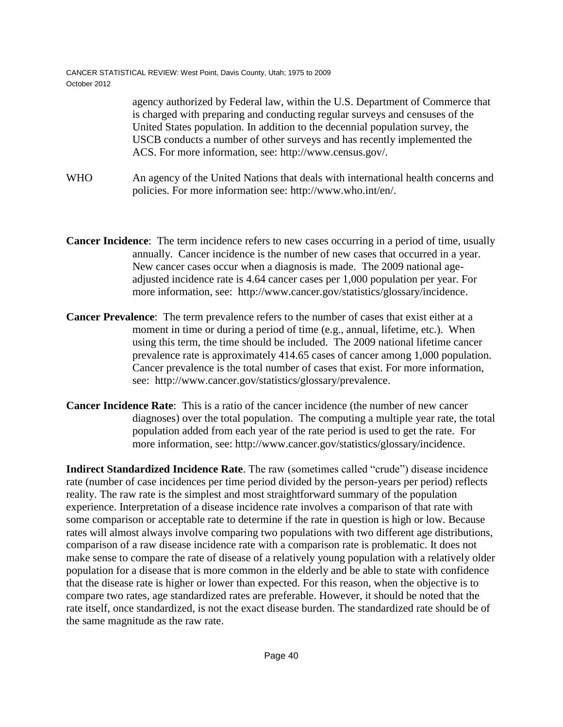> agency authorized by Federal law, within the U.S. Department of Commerce that is charged with preparing and conducting regular surveys and censuses of the United States population. In addition to the decennial population survey, the USCB conducts a number of other surveys and has recently implemented the ACS. For more information, see: http://www.census.gov/.

- WHO An agency of the United Nations that deals with international health concerns and policies. For more information see: http://www.who.int/en/.
- **Cancer Incidence**: The term incidence refers to new cases occurring in a period of time, usually annually. Cancer incidence is the number of new cases that occurred in a year. New cancer cases occur when a diagnosis is made. The 2009 national ageadjusted incidence rate is 4.64 cancer cases per 1,000 population per year. For more information, see: http://www.cancer.gov/statistics/glossary/incidence.
- **Cancer Prevalence**: The term prevalence refers to the number of cases that exist either at a moment in time or during a period of time (e.g., annual, lifetime, etc.). When using this term, the time should be included. The 2009 national lifetime cancer prevalence rate is approximately 414.65 cases of cancer among 1,000 population. Cancer prevalence is the total number of cases that exist. For more information, see: http://www.cancer.gov/statistics/glossary/prevalence.
- **Cancer Incidence Rate**: This is a ratio of the cancer incidence (the number of new cancer diagnoses) over the total population. The computing a multiple year rate, the total population added from each year of the rate period is used to get the rate. For more information, see: http://www.cancer.gov/statistics/glossary/incidence.

**Indirect Standardized Incidence Rate**. The raw (sometimes called "crude") disease incidence rate (number of case incidences per time period divided by the person-years per period) reflects reality. The raw rate is the simplest and most straightforward summary of the population experience. Interpretation of a disease incidence rate involves a comparison of that rate with some comparison or acceptable rate to determine if the rate in question is high or low. Because rates will almost always involve comparing two populations with two different age distributions, comparison of a raw disease incidence rate with a comparison rate is problematic. It does not make sense to compare the rate of disease of a relatively young population with a relatively older population for a disease that is more common in the elderly and be able to state with confidence that the disease rate is higher or lower than expected. For this reason, when the objective is to compare two rates, age standardized rates are preferable. However, it should be noted that the rate itself, once standardized, is not the exact disease burden. The standardized rate should be of the same magnitude as the raw rate.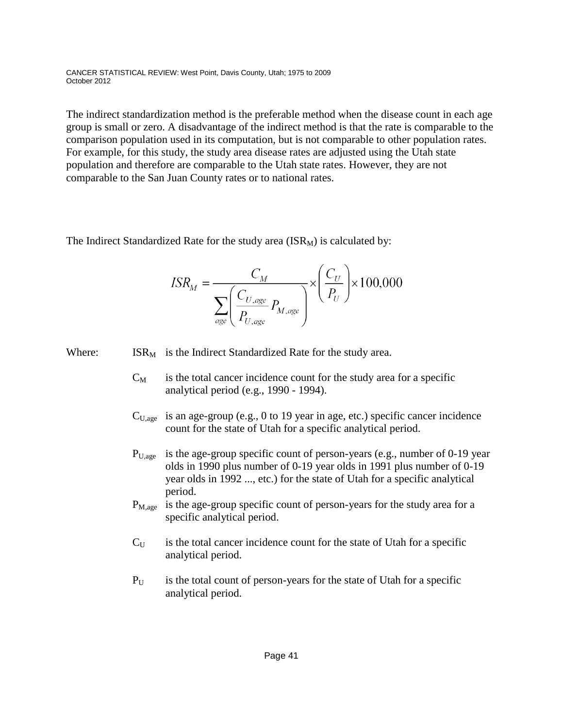The indirect standardization method is the preferable method when the disease count in each age group is small or zero. A disadvantage of the indirect method is that the rate is comparable to the comparison population used in its computation, but is not comparable to other population rates. For example, for this study, the study area disease rates are adjusted using the Utah state population and therefore are comparable to the Utah state rates. However, they are not comparable to the San Juan County rates or to national rates.

The Indirect Standardized Rate for the study area  $(ISR_M)$  is calculated by:

$$
ISR_M = \frac{C_M}{\sum_{age} \left(\frac{C_{U,age}}{P_{U,age}} P_{M,age}\right)} \times \left(\frac{C_U}{P_U}\right) \times 100,000
$$

Where:  $\text{ISR}_{\text{M}}$  is the Indirect Standardized Rate for the study area.

- $C_M$  is the total cancer incidence count for the study area for a specific analytical period (e.g., 1990 - 1994).
- $C<sub>U,age</sub>$  is an age-group (e.g., 0 to 19 year in age, etc.) specific cancer incidence count for the state of Utah for a specific analytical period.
- $P_{U,age}$  is the age-group specific count of person-years (e.g., number of 0-19 year olds in 1990 plus number of 0-19 year olds in 1991 plus number of 0-19 year olds in 1992 ..., etc.) for the state of Utah for a specific analytical period.
- $P_{M,age}$  is the age-group specific count of person-years for the study area for a specific analytical period.
- $C_U$  is the total cancer incidence count for the state of Utah for a specific analytical period.
- $P_{U}$  is the total count of person-years for the state of Utah for a specific analytical period.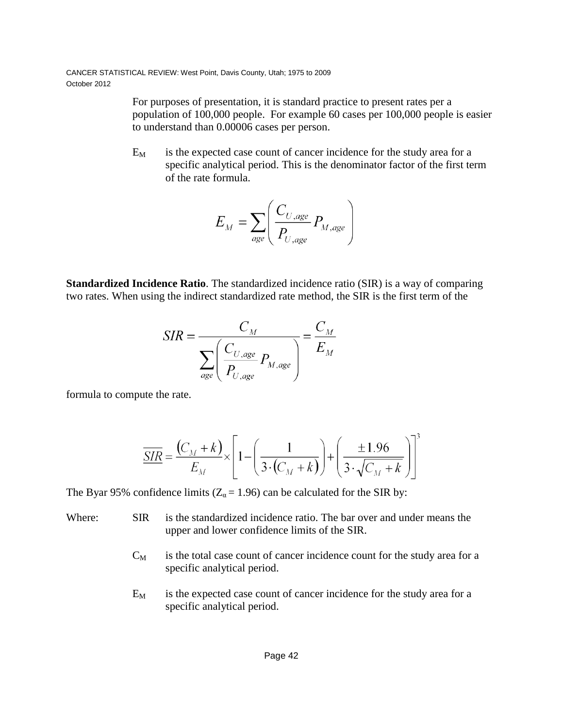> For purposes of presentation, it is standard practice to present rates per a population of 100,000 people. For example 60 cases per 100,000 people is easier to understand than 0.00006 cases per person.

 $E_M$  is the expected case count of cancer incidence for the study area for a specific analytical period. This is the denominator factor of the first term of the rate formula.

$$
E_M = \sum_{age} \left( \frac{C_{U,age}}{P_{U,age}} P_{M,age} \right)
$$

**Standardized Incidence Ratio**. The standardized incidence ratio (SIR) is a way of comparing two rates. When using the indirect standardized rate method, the SIR is the first term of the

$$
SIR = \frac{C_M}{\sum_{age} \left(\frac{C_{U,age}}{P_{U,age}} P_{M,age}\right)} = \frac{C_M}{E_M}
$$

formula to compute the rate.

$$
\underline{\overline{SIR}} = \frac{(C_M + k)}{E_M} \times \left[1 - \left(\frac{1}{3 \cdot (C_M + k)}\right) + \left(\frac{\pm 1.96}{3 \cdot \sqrt{C_M + k}}\right)\right]^3
$$

The Byar 95% confidence limits ( $Z_a = 1.96$ ) can be calculated for the SIR by:

- Where: SIR is the standardized incidence ratio. The bar over and under means the upper and lower confidence limits of the SIR.
	- $C_M$  is the total case count of cancer incidence count for the study area for a specific analytical period.
	- $E_M$  is the expected case count of cancer incidence for the study area for a specific analytical period.